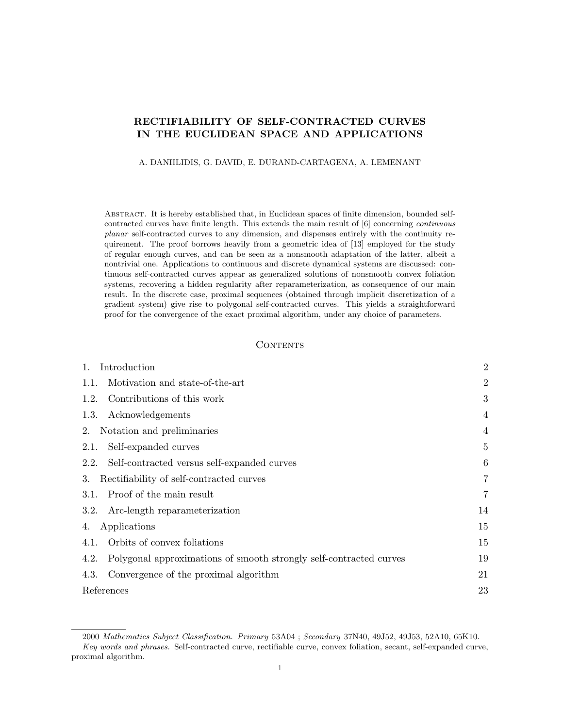# RECTIFIABILITY OF SELF-CONTRACTED CURVES IN THE EUCLIDEAN SPACE AND APPLICATIONS

## A. DANIILIDIS, G. DAVID, E. DURAND-CARTAGENA, A. LEMENANT

Abstract. It is hereby established that, in Euclidean spaces of finite dimension, bounded selfcontracted curves have finite length. This extends the main result of [6] concerning continuous planar self-contracted curves to any dimension, and dispenses entirely with the continuity requirement. The proof borrows heavily from a geometric idea of [13] employed for the study of regular enough curves, and can be seen as a nonsmooth adaptation of the latter, albeit a nontrivial one. Applications to continuous and discrete dynamical systems are discussed: continuous self-contracted curves appear as generalized solutions of nonsmooth convex foliation systems, recovering a hidden regularity after reparameterization, as consequence of our main result. In the discrete case, proximal sequences (obtained through implicit discretization of a gradient system) give rise to polygonal self-contracted curves. This yields a straightforward proof for the convergence of the exact proximal algorithm, under any choice of parameters.

## **CONTENTS**

| Introduction                                                               | $\overline{2}$ |
|----------------------------------------------------------------------------|----------------|
| Motivation and state-of-the-art<br>1.1.                                    | $\overline{2}$ |
| Contributions of this work<br>1.2.                                         | 3              |
| Acknowledgements<br>1.3.                                                   | 4              |
| Notation and preliminaries<br>2.                                           | $\overline{4}$ |
| Self-expanded curves<br>2.1.                                               | $\overline{5}$ |
| Self-contracted versus self-expanded curves<br>2.2.                        | 6              |
| Rectifiability of self-contracted curves<br>3.                             | 7              |
| Proof of the main result<br>3.1.                                           | 7              |
| Arc-length reparameterization<br>3.2.                                      | 14             |
| Applications<br>4.                                                         | 15             |
| Orbits of convex foliations<br>4.1.                                        | 15             |
| Polygonal approximations of smooth strongly self-contracted curves<br>4.2. | 19             |
| Convergence of the proximal algorithm<br>4.3.                              | 21             |
| References                                                                 | 23             |

<sup>2000</sup> Mathematics Subject Classification. Primary 53A04 ; Secondary 37N40, 49J52, 49J53, 52A10, 65K10. Key words and phrases. Self-contracted curve, rectifiable curve, convex foliation, secant, self-expanded curve, proximal algorithm.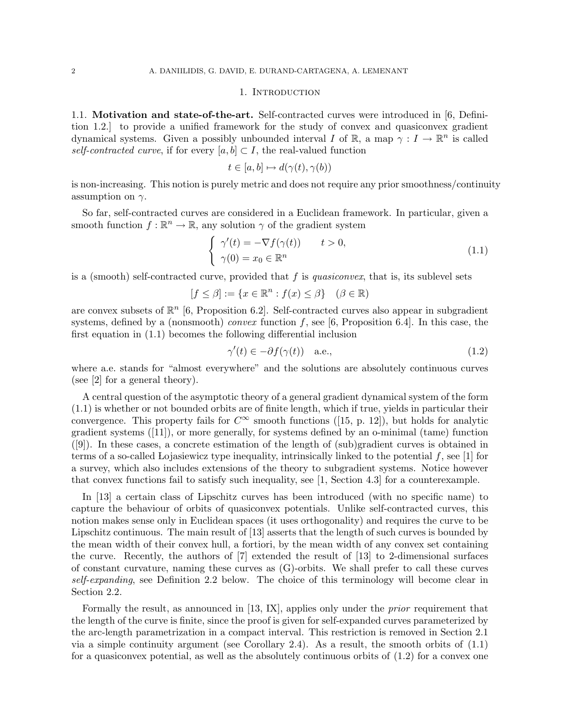#### 1. Introduction

1.1. Motivation and state-of-the-art. Self-contracted curves were introduced in [6, Definition 1.2.] to provide a unified framework for the study of convex and quasiconvex gradient dynamical systems. Given a possibly unbounded interval I of  $\mathbb{R}$ , a map  $\gamma: I \to \mathbb{R}^n$  is called self-contracted curve, if for every  $[a, b] \subset I$ , the real-valued function

$$
t \in [a, b] \mapsto d(\gamma(t), \gamma(b))
$$

is non-increasing. This notion is purely metric and does not require any prior smoothness/continuity assumption on  $\gamma$ .

So far, self-contracted curves are considered in a Euclidean framework. In particular, given a smooth function  $f : \mathbb{R}^n \to \mathbb{R}$ , any solution  $\gamma$  of the gradient system

$$
\begin{cases}\n\gamma'(t) = -\nabla f(\gamma(t)) & t > 0, \\
\gamma(0) = x_0 \in \mathbb{R}^n\n\end{cases}
$$
\n(1.1)

is a (smooth) self-contracted curve, provided that  $f$  is *quasiconvex*, that is, its sublevel sets

$$
[f \le \beta] := \{ x \in \mathbb{R}^n : f(x) \le \beta \} \quad (\beta \in \mathbb{R})
$$

are convex subsets of  $\mathbb{R}^n$  [6, Proposition 6.2]. Self-contracted curves also appear in subgradient systems, defined by a (nonsmooth) *convex* function f, see [6, Proposition 6.4]. In this case, the first equation in (1.1) becomes the following differential inclusion

$$
\gamma'(t) \in -\partial f(\gamma(t)) \quad \text{a.e.,} \tag{1.2}
$$

where a.e. stands for "almost everywhere" and the solutions are absolutely continuous curves (see [2] for a general theory).

A central question of the asymptotic theory of a general gradient dynamical system of the form (1.1) is whether or not bounded orbits are of finite length, which if true, yields in particular their convergence. This property fails for  $C^{\infty}$  smooth functions ([15, p. 12]), but holds for analytic gradient systems ([11]), or more generally, for systems defined by an o-minimal (tame) function ([9]). In these cases, a concrete estimation of the length of (sub)gradient curves is obtained in terms of a so-called Lojasiewicz type inequality, intrinsically linked to the potential  $f$ , see [1] for a survey, which also includes extensions of the theory to subgradient systems. Notice however that convex functions fail to satisfy such inequality, see [1, Section 4.3] for a counterexample.

In [13] a certain class of Lipschitz curves has been introduced (with no specific name) to capture the behaviour of orbits of quasiconvex potentials. Unlike self-contracted curves, this notion makes sense only in Euclidean spaces (it uses orthogonality) and requires the curve to be Lipschitz continuous. The main result of [13] asserts that the length of such curves is bounded by the mean width of their convex hull, a fortiori, by the mean width of any convex set containing the curve. Recently, the authors of [7] extended the result of [13] to 2-dimensional surfaces of constant curvature, naming these curves as (G)-orbits. We shall prefer to call these curves self-expanding, see Definition 2.2 below. The choice of this terminology will become clear in Section 2.2.

Formally the result, as announced in [13, IX], applies only under the *prior* requirement that the length of the curve is finite, since the proof is given for self-expanded curves parameterized by the arc-length parametrization in a compact interval. This restriction is removed in Section 2.1 via a simple continuity argument (see Corollary 2.4). As a result, the smooth orbits of (1.1) for a quasiconvex potential, as well as the absolutely continuous orbits of (1.2) for a convex one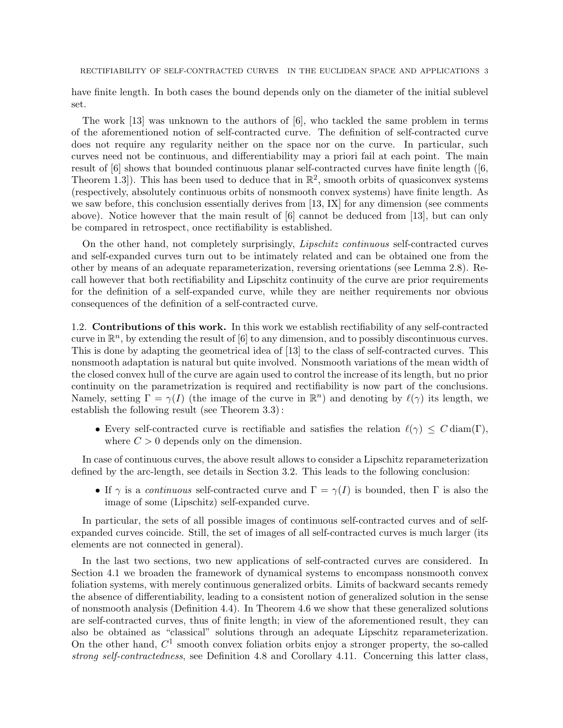RECTIFIABILITY OF SELF-CONTRACTED CURVES IN THE EUCLIDEAN SPACE AND APPLICATIONS 3

have finite length. In both cases the bound depends only on the diameter of the initial sublevel set.

The work [13] was unknown to the authors of [6], who tackled the same problem in terms of the aforementioned notion of self-contracted curve. The definition of self-contracted curve does not require any regularity neither on the space nor on the curve. In particular, such curves need not be continuous, and differentiability may a priori fail at each point. The main result of [6] shows that bounded continuous planar self-contracted curves have finite length ([6, Theorem 1.3.]). This has been used to deduce that in  $\mathbb{R}^2$ , smooth orbits of quasiconvex systems (respectively, absolutely continuous orbits of nonsmooth convex systems) have finite length. As we saw before, this conclusion essentially derives from [13, IX] for any dimension (see comments above). Notice however that the main result of [6] cannot be deduced from [13], but can only be compared in retrospect, once rectifiability is established.

On the other hand, not completely surprisingly, Lipschitz continuous self-contracted curves and self-expanded curves turn out to be intimately related and can be obtained one from the other by means of an adequate reparameterization, reversing orientations (see Lemma 2.8). Recall however that both rectifiability and Lipschitz continuity of the curve are prior requirements for the definition of a self-expanded curve, while they are neither requirements nor obvious consequences of the definition of a self-contracted curve.

1.2. Contributions of this work. In this work we establish rectifiability of any self-contracted curve in  $\mathbb{R}^n$ , by extending the result of [6] to any dimension, and to possibly discontinuous curves. This is done by adapting the geometrical idea of [13] to the class of self-contracted curves. This nonsmooth adaptation is natural but quite involved. Nonsmooth variations of the mean width of the closed convex hull of the curve are again used to control the increase of its length, but no prior continuity on the parametrization is required and rectifiability is now part of the conclusions. Namely, setting  $\Gamma = \gamma(I)$  (the image of the curve in  $\mathbb{R}^n$ ) and denoting by  $\ell(\gamma)$  its length, we establish the following result (see Theorem 3.3) :

• Every self-contracted curve is rectifiable and satisfies the relation  $\ell(\gamma) \leq C \operatorname{diam}(\Gamma)$ , where  $C > 0$  depends only on the dimension.

In case of continuous curves, the above result allows to consider a Lipschitz reparameterization defined by the arc-length, see details in Section 3.2. This leads to the following conclusion:

• If  $\gamma$  is a continuous self-contracted curve and  $\Gamma = \gamma(I)$  is bounded, then  $\Gamma$  is also the image of some (Lipschitz) self-expanded curve.

In particular, the sets of all possible images of continuous self-contracted curves and of selfexpanded curves coincide. Still, the set of images of all self-contracted curves is much larger (its elements are not connected in general).

In the last two sections, two new applications of self-contracted curves are considered. In Section 4.1 we broaden the framework of dynamical systems to encompass nonsmooth convex foliation systems, with merely continuous generalized orbits. Limits of backward secants remedy the absence of differentiability, leading to a consistent notion of generalized solution in the sense of nonsmooth analysis (Definition 4.4). In Theorem 4.6 we show that these generalized solutions are self-contracted curves, thus of finite length; in view of the aforementioned result, they can also be obtained as "classical" solutions through an adequate Lipschitz reparameterization. On the other hand,  $C^1$  smooth convex foliation orbits enjoy a stronger property, the so-called strong self-contractedness, see Definition 4.8 and Corollary 4.11. Concerning this latter class,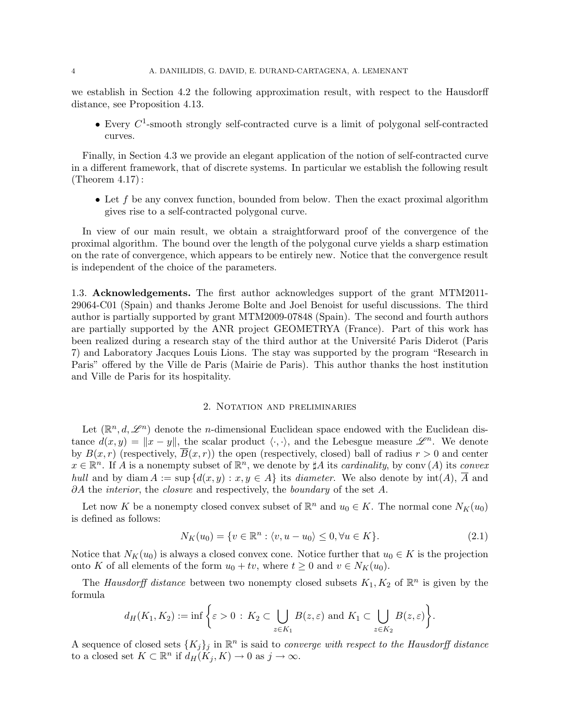we establish in Section 4.2 the following approximation result, with respect to the Hausdorff distance, see Proposition 4.13.

• Every  $C^1$ -smooth strongly self-contracted curve is a limit of polygonal self-contracted curves.

Finally, in Section 4.3 we provide an elegant application of the notion of self-contracted curve in a different framework, that of discrete systems. In particular we establish the following result (Theorem 4.17) :

• Let  $f$  be any convex function, bounded from below. Then the exact proximal algorithm gives rise to a self-contracted polygonal curve.

In view of our main result, we obtain a straightforward proof of the convergence of the proximal algorithm. The bound over the length of the polygonal curve yields a sharp estimation on the rate of convergence, which appears to be entirely new. Notice that the convergence result is independent of the choice of the parameters.

1.3. Acknowledgements. The first author acknowledges support of the grant MTM2011- 29064-C01 (Spain) and thanks Jerome Bolte and Joel Benoist for useful discussions. The third author is partially supported by grant MTM2009-07848 (Spain). The second and fourth authors are partially supported by the ANR project GEOMETRYA (France). Part of this work has been realized during a research stay of the third author at the Université Paris Diderot (Paris 7) and Laboratory Jacques Louis Lions. The stay was supported by the program "Research in Paris" offered by the Ville de Paris (Mairie de Paris). This author thanks the host institution and Ville de Paris for its hospitality.

## 2. Notation and preliminaries

Let  $(\mathbb{R}^n, d, \mathcal{L}^n)$  denote the *n*-dimensional Euclidean space endowed with the Euclidean distance  $d(x, y) = ||x - y||$ , the scalar product  $\langle \cdot, \cdot \rangle$ , and the Lebesgue measure  $\mathscr{L}^n$ . We denote by  $B(x, r)$  (respectively,  $\overline{B}(x, r)$ ) the open (respectively, closed) ball of radius  $r > 0$  and center  $x \in \mathbb{R}^n$ . If A is a nonempty subset of  $\mathbb{R}^n$ , we denote by  $\sharp A$  its *cardinality*, by conv  $(A)$  its *convex* hull and by diam  $A := \sup \{d(x, y) : x, y \in A\}$  its diameter. We also denote by  $\text{int}(A)$ , A and  $\partial A$  the *interior*, the *closure* and respectively, the *boundary* of the set A.

Let now K be a nonempty closed convex subset of  $\mathbb{R}^n$  and  $u_0 \in K$ . The normal cone  $N_K(u_0)$ is defined as follows:

$$
N_K(u_0) = \{v \in \mathbb{R}^n : \langle v, u - u_0 \rangle \le 0, \forall u \in K\}.
$$
\n
$$
(2.1)
$$

Notice that  $N_K(u_0)$  is always a closed convex cone. Notice further that  $u_0 \in K$  is the projection onto K of all elements of the form  $u_0 + tv$ , where  $t \geq 0$  and  $v \in N_K(u_0)$ .

The Hausdorff distance between two nonempty closed subsets  $K_1, K_2$  of  $\mathbb{R}^n$  is given by the formula

$$
d_H(K_1, K_2) := \inf \bigg\{ \varepsilon > 0 \, : \, K_2 \subset \bigcup_{z \in K_1} B(z, \varepsilon) \text{ and } K_1 \subset \bigcup_{z \in K_2} B(z, \varepsilon) \bigg\}.
$$

A sequence of closed sets  $\{K_j\}_j$  in  $\mathbb{R}^n$  is said to *converge with respect to the Hausdorff distance* to a closed set  $K \subset \mathbb{R}^n$  if  $d_H(K_j, K) \to 0$  as  $j \to \infty$ .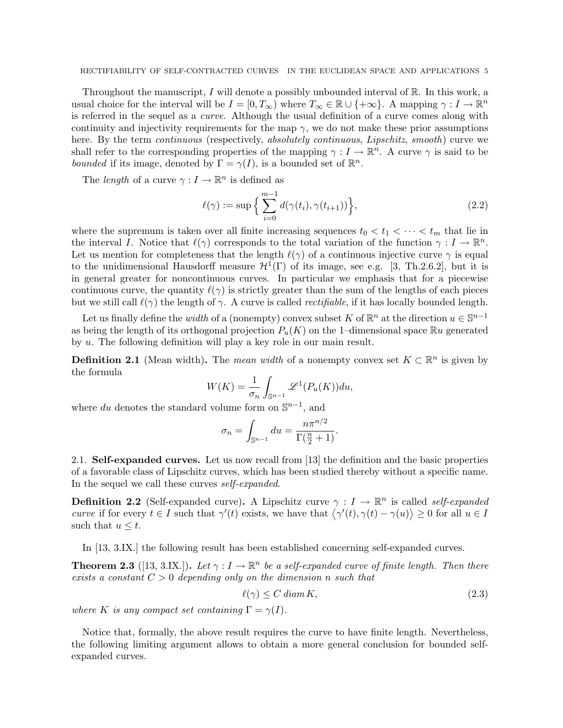Throughout the manuscript, I will denote a possibly unbounded interval of  $\mathbb{R}$ . In this work, a usual choice for the interval will be  $I = [0, T_{\infty})$  where  $T_{\infty} \in \mathbb{R} \cup \{+\infty\}$ . A mapping  $\gamma : I \to \mathbb{R}^n$ is referred in the sequel as a curve. Although the usual definition of a curve comes along with continuity and injectivity requirements for the map  $\gamma$ , we do not make these prior assumptions here. By the term *continuous* (respectively, *absolutely continuous, Lipschitz, smooth*) curve we shall refer to the corresponding properties of the mapping  $\gamma: I \to \mathbb{R}^n$ . A curve  $\gamma$  is said to be bounded if its image, denoted by  $\Gamma = \gamma(I)$ , is a bounded set of  $\mathbb{R}^n$ .

The *length* of a curve  $\gamma: I \to \mathbb{R}^n$  is defined as

$$
\ell(\gamma) := \sup \left\{ \sum_{i=0}^{m-1} d(\gamma(t_i), \gamma(t_{i+1})) \right\},\tag{2.2}
$$

where the supremum is taken over all finite increasing sequences  $t_0 < t_1 < \cdots < t_m$  that lie in the interval I. Notice that  $\ell(\gamma)$  corresponds to the total variation of the function  $\gamma : I \to \mathbb{R}^n$ . Let us mention for completeness that the length  $\ell(\gamma)$  of a continuous injective curve  $\gamma$  is equal to the unidimensional Hausdorff measure  $\mathcal{H}^1(\Gamma)$  of its image, see e.g. [3, Th.2.6.2], but it is in general greater for noncontinuous curves. In particular we emphasis that for a piecewise continuous curve, the quantity  $\ell(\gamma)$  is strictly greater than the sum of the lengths of each pieces but we still call  $\ell(\gamma)$  the length of  $\gamma$ . A curve is called *rectifiable*, if it has locally bounded length.

Let us finally define the *width* of a (nonempty) convex subset K of  $\mathbb{R}^n$  at the direction  $u \in \mathbb{S}^{n-1}$ as being the length of its orthogonal projection  $P_u(K)$  on the 1–dimensional space  $\mathbb{R}^u$  generated by u. The following definition will play a key role in our main result.

**Definition 2.1** (Mean width). The mean width of a nonempty convex set  $K \subset \mathbb{R}^n$  is given by the formula

$$
W(K) = \frac{1}{\sigma_n} \int_{\mathbb{S}^{n-1}} \mathscr{L}^1(P_u(K)) du,
$$

where du denotes the standard volume form on  $\mathbb{S}^{n-1}$ , and

$$
\sigma_n = \int_{\mathbb{S}^{n-1}} du = \frac{n\pi^{n/2}}{\Gamma(\frac{n}{2} + 1)}.
$$

2.1. Self-expanded curves. Let us now recall from [13] the definition and the basic properties of a favorable class of Lipschitz curves, which has been studied thereby without a specific name. In the sequel we call these curves self-expanded.

**Definition 2.2** (Self-expanded curve). A Lipschitz curve  $\gamma : I \to \mathbb{R}^n$  is called *self-expanded* curve if for every  $t \in I$  such that  $\gamma'(t)$  exists, we have that  $\langle \gamma'(t), \gamma(t) - \gamma(u) \rangle \geq 0$  for all  $u \in I$ such that  $u \leq t$ .

In [13, 3.IX.] the following result has been established concerning self-expanded curves.

**Theorem 2.3** ([13, 3.IX.]). Let  $\gamma: I \to \mathbb{R}^n$  be a self-expanded curve of finite length. Then there exists a constant  $C > 0$  depending only on the dimension n such that

$$
\ell(\gamma) \le C \operatorname{diam} K,\tag{2.3}
$$

where K is any compact set containing  $\Gamma = \gamma(I)$ .

Notice that, formally, the above result requires the curve to have finite length. Nevertheless, the following limiting argument allows to obtain a more general conclusion for bounded selfexpanded curves.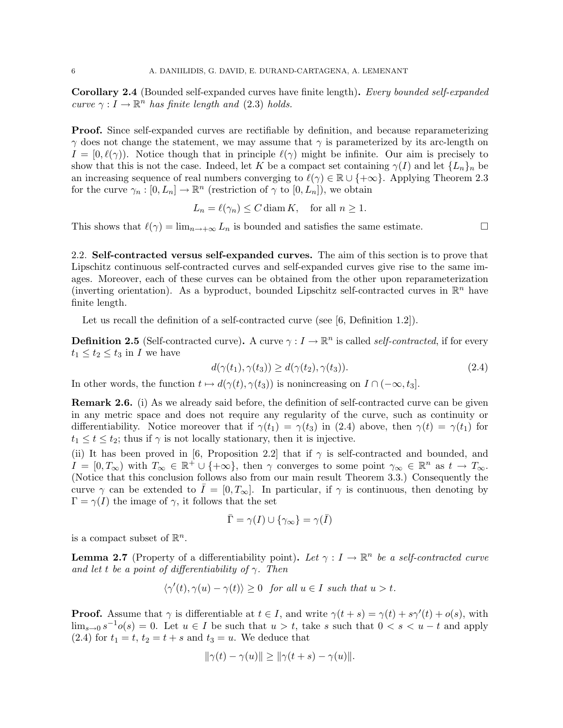Corollary 2.4 (Bounded self-expanded curves have finite length). Every bounded self-expanded curve  $\gamma: I \to \mathbb{R}^n$  has finite length and (2.3) holds.

Proof. Since self-expanded curves are rectifiable by definition, and because reparameterizing  $\gamma$  does not change the statement, we may assume that  $\gamma$  is parameterized by its arc-length on  $I = [0, \ell(\gamma))$ . Notice though that in principle  $\ell(\gamma)$  might be infinite. Our aim is precisely to show that this is not the case. Indeed, let K be a compact set containing  $\gamma(I)$  and let  $\{L_n\}_n$  be an increasing sequence of real numbers converging to  $\ell(\gamma) \in \mathbb{R} \cup \{+\infty\}$ . Applying Theorem 2.3 for the curve  $\gamma_n : [0, L_n] \to \mathbb{R}^n$  (restriction of  $\gamma$  to  $[0, L_n]$ ), we obtain

$$
L_n = \ell(\gamma_n) \le C \operatorname{diam} K, \quad \text{for all } n \ge 1.
$$

This shows that  $\ell(\gamma) = \lim_{n \to +\infty} L_n$  is bounded and satisfies the same estimate.

2.2. Self-contracted versus self-expanded curves. The aim of this section is to prove that Lipschitz continuous self-contracted curves and self-expanded curves give rise to the same images. Moreover, each of these curves can be obtained from the other upon reparameterization (inverting orientation). As a byproduct, bounded Lipschitz self-contracted curves in  $\mathbb{R}^n$  have finite length.

Let us recall the definition of a self-contracted curve (see [6, Definition 1.2]).

**Definition 2.5** (Self-contracted curve). A curve  $\gamma: I \to \mathbb{R}^n$  is called *self-contracted*, if for every  $t_1 \leq t_2 \leq t_3$  in I we have

$$
d(\gamma(t_1), \gamma(t_3)) \ge d(\gamma(t_2), \gamma(t_3)).\tag{2.4}
$$

In other words, the function  $t \mapsto d(\gamma(t), \gamma(t_3))$  is nonincreasing on  $I \cap (-\infty, t_3]$ .

Remark 2.6. (i) As we already said before, the definition of self-contracted curve can be given in any metric space and does not require any regularity of the curve, such as continuity or differentiability. Notice moreover that if  $\gamma(t_1) = \gamma(t_3)$  in (2.4) above, then  $\gamma(t) = \gamma(t_1)$  for  $t_1 \leq t \leq t_2$ ; thus if  $\gamma$  is not locally stationary, then it is injective.

(ii) It has been proved in [6, Proposition 2.2] that if  $\gamma$  is self-contracted and bounded, and  $I = [0, T_{\infty})$  with  $T_{\infty} \in \mathbb{R}^+ \cup \{+\infty\}$ , then  $\gamma$  converges to some point  $\gamma_{\infty} \in \mathbb{R}^n$  as  $t \to T_{\infty}$ . (Notice that this conclusion follows also from our main result Theorem 3.3.) Consequently the curve  $\gamma$  can be extended to  $I = [0, T_{\infty}]$ . In particular, if  $\gamma$  is continuous, then denoting by  $\Gamma = \gamma(I)$  the image of  $\gamma$ , it follows that the set

$$
\bar{\Gamma}=\gamma(I)\cup\{\gamma_{\infty}\}=\gamma(\bar{I})
$$

is a compact subset of  $\mathbb{R}^n$ .

**Lemma 2.7** (Property of a differentiability point). Let  $\gamma : I \to \mathbb{R}^n$  be a self-contracted curve and let t be a point of differentiability of  $\gamma$ . Then

$$
\langle \gamma'(t), \gamma(u) - \gamma(t) \rangle \ge 0 \quad \text{for all } u \in I \text{ such that } u > t.
$$

**Proof.** Assume that  $\gamma$  is differentiable at  $t \in I$ , and write  $\gamma(t + s) = \gamma(t) + s\gamma'(t) + o(s)$ , with  $\lim_{s\to 0} s^{-1}o(s) = 0$ . Let  $u \in I$  be such that  $u > t$ , take s such that  $0 < s < u - t$  and apply (2.4) for  $t_1 = t, t_2 = t + s$  and  $t_3 = u$ . We deduce that

$$
\|\gamma(t) - \gamma(u)\| \ge \|\gamma(t+s) - \gamma(u)\|.
$$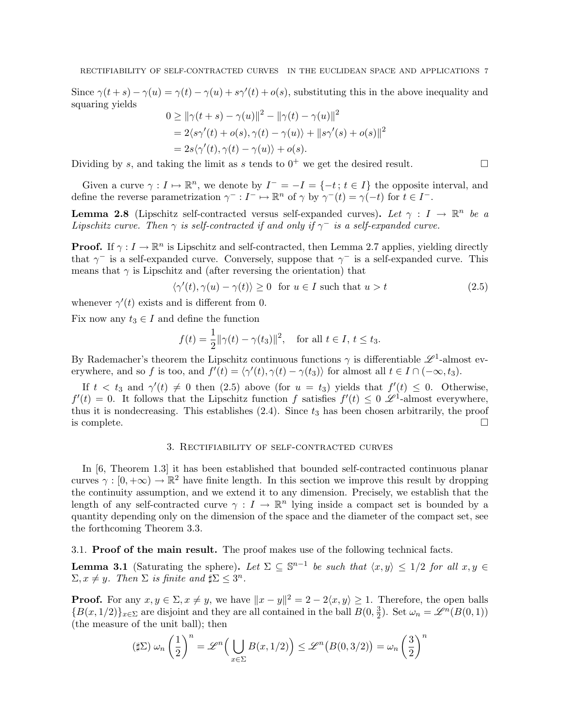Since  $\gamma(t+s) - \gamma(u) = \gamma(t) - \gamma(u) + s\gamma'(t) + o(s)$ , substituting this in the above inequality and squaring yields

$$
0 \ge ||\gamma(t+s) - \gamma(u)||^2 - ||\gamma(t) - \gamma(u)||^2
$$
  
= 2\langle s\gamma'(t) + o(s), \gamma(t) - \gamma(u)\rangle + ||s\gamma'(s) + o(s)||^2  
= 2s\langle \gamma'(t), \gamma(t) - \gamma(u)\rangle + o(s).

Dividing by s, and taking the limit as s tends to  $0^+$  we get the desired result.

Given a curve  $\gamma: I \mapsto \mathbb{R}^n$ , we denote by  $I^- = -I = \{-t : t \in I\}$  the opposite interval, and define the reverse parametrization  $\gamma^- : I^- \mapsto \mathbb{R}^n$  of  $\gamma$  by  $\gamma^-(t) = \gamma(-t)$  for  $t \in I^-$ .

**Lemma 2.8** (Lipschitz self-contracted versus self-expanded curves). Let  $\gamma : I \to \mathbb{R}^n$  be a Lipschitz curve. Then  $\gamma$  is self-contracted if and only if  $\gamma^-$  is a self-expanded curve.

**Proof.** If  $\gamma: I \to \mathbb{R}^n$  is Lipschitz and self-contracted, then Lemma 2.7 applies, yielding directly that  $\gamma$ <sup>-</sup> is a self-expanded curve. Conversely, suppose that  $\gamma$ <sup>-</sup> is a self-expanded curve. This means that  $\gamma$  is Lipschitz and (after reversing the orientation) that

$$
\langle \gamma'(t), \gamma(u) - \gamma(t) \rangle \ge 0 \quad \text{for } u \in I \text{ such that } u > t \tag{2.5}
$$

whenever  $\gamma'(t)$  exists and is different from 0.

Fix now any  $t_3 \in I$  and define the function

$$
f(t) = \frac{1}{2} ||\gamma(t) - \gamma(t_3)||^2
$$
, for all  $t \in I$ ,  $t \le t_3$ .

By Rademacher's theorem the Lipschitz continuous functions  $\gamma$  is differentiable  $\mathscr{L}^1$ -almost everywhere, and so f is too, and  $f'(t) = \langle \gamma'(t), \gamma(t) - \gamma(t_3) \rangle$  for almost all  $t \in I \cap (-\infty, t_3)$ .

If  $t < t_3$  and  $\gamma'(t) \neq 0$  then (2.5) above (for  $u = t_3$ ) yields that  $f'(t) \leq 0$ . Otherwise,  $f'(t) = 0$ . It follows that the Lipschitz function f satisfies  $f'(t) \leq 0$   $\mathscr{L}^1$ -almost everywhere, thus it is nondecreasing. This establishes  $(2.4)$ . Since  $t_3$  has been chosen arbitrarily, the proof is complete.  $\Box$ 

# 3. Rectifiability of self-contracted curves

In [6, Theorem 1.3] it has been established that bounded self-contracted continuous planar curves  $\gamma : [0, +\infty) \to \mathbb{R}^2$  have finite length. In this section we improve this result by dropping the continuity assumption, and we extend it to any dimension. Precisely, we establish that the length of any self-contracted curve  $\gamma: I \to \mathbb{R}^n$  lying inside a compact set is bounded by a quantity depending only on the dimension of the space and the diameter of the compact set, see the forthcoming Theorem 3.3.

#### 3.1. Proof of the main result. The proof makes use of the following technical facts.

**Lemma 3.1** (Saturating the sphere). Let  $\Sigma \subseteq \mathbb{S}^{n-1}$  be such that  $\langle x, y \rangle \leq 1/2$  for all  $x, y \in \mathbb{S}^{n-1}$  $\Sigma, x \neq y$ . Then  $\Sigma$  is finite and  $\sharp \Sigma \leq 3^n$ .

**Proof.** For any  $x, y \in \Sigma, x \neq y$ , we have  $||x - y||^2 = 2 - 2\langle x, y \rangle \ge 1$ . Therefore, the open balls  ${B(x, 1/2)}_{x \in \Sigma}$  are disjoint and they are all contained in the ball  $B(0, \frac{3}{2})$  $\frac{3}{2}$ ). Set  $\omega_n = \mathscr{L}^n(B(0,1))$ (the measure of the unit ball); then

$$
(\sharp \Sigma) \omega_n \left(\frac{1}{2}\right)^n = \mathscr{L}^n\Big(\bigcup_{x \in \Sigma} B(x, 1/2)\Big) \le \mathscr{L}^n\big(B(0, 3/2)\big) = \omega_n \left(\frac{3}{2}\right)^n
$$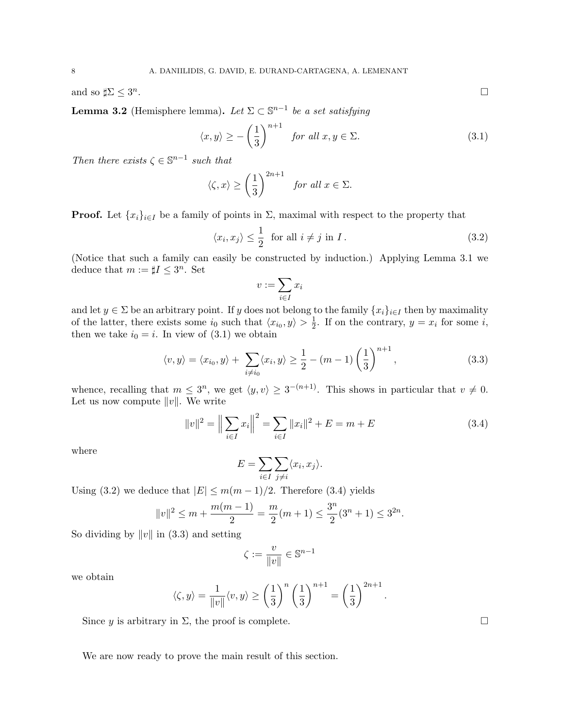and so  $\sharp \Sigma \leq 3^n$ 

**Lemma 3.2** (Hemisphere lemma). Let  $\Sigma \subset \mathbb{S}^{n-1}$  be a set satisfying

$$
\langle x, y \rangle \ge -\left(\frac{1}{3}\right)^{n+1} \quad \text{for all } x, y \in \Sigma. \tag{3.1}
$$

Then there exists  $\zeta \in \mathbb{S}^{n-1}$  such that

$$
\langle \zeta, x \rangle \ge \left(\frac{1}{3}\right)^{2n+1}
$$
 for all  $x \in \Sigma$ .

**Proof.** Let  $\{x_i\}_{i\in I}$  be a family of points in  $\Sigma$ , maximal with respect to the property that

$$
\langle x_i, x_j \rangle \le \frac{1}{2} \quad \text{for all } i \ne j \text{ in } I. \tag{3.2}
$$

(Notice that such a family can easily be constructed by induction.) Applying Lemma 3.1 we deduce that  $m := \sharp I \leq 3^n$ . Set

$$
v:=\sum_{i\in I}x_i
$$

and let  $y \in \Sigma$  be an arbitrary point. If y does not belong to the family  $\{x_i\}_{i\in I}$  then by maximality of the latter, there exists some  $i_0$  such that  $\langle x_{i_0}, y \rangle > \frac{1}{2}$  $\frac{1}{2}$ . If on the contrary,  $y = x_i$  for some i, then we take  $i_0 = i$ . In view of  $(3.1)$  we obtain

$$
\langle v, y \rangle = \langle x_{i_0}, y \rangle + \sum_{i \neq i_0} \langle x_i, y \rangle \ge \frac{1}{2} - (m - 1) \left(\frac{1}{3}\right)^{n+1}, \tag{3.3}
$$

whence, recalling that  $m \leq 3^n$ , we get  $\langle y, v \rangle \geq 3^{-(n+1)}$ . This shows in particular that  $v \neq 0$ . Let us now compute  $||v||$ . We write

$$
||v||^2 = \left\| \sum_{i \in I} x_i \right\|^2 = \sum_{i \in I} ||x_i||^2 + E = m + E \tag{3.4}
$$

.

where

$$
E = \sum_{i \in I} \sum_{j \neq i} \langle x_i, x_j \rangle.
$$

Using (3.2) we deduce that  $|E| \leq m(m-1)/2$ . Therefore (3.4) yields

$$
||v||^2 \le m + \frac{m(m-1)}{2} = \frac{m}{2}(m+1) \le \frac{3^n}{2}(3^n+1) \le 3^{2n}.
$$

So dividing by  $||v||$  in (3.3) and setting

$$
\zeta:=\frac{v}{\|v\|}\in\mathbb{S}^{n-1}
$$

we obtain

$$
\langle \zeta, y \rangle = \frac{1}{\|v\|} \langle v, y \rangle \ge \left(\frac{1}{3}\right)^n \left(\frac{1}{3}\right)^{n+1} = \left(\frac{1}{3}\right)^{2n+1}
$$

Since y is arbitrary in  $\Sigma$ , the proof is complete.  $\square$ 

We are now ready to prove the main result of this section.

. В последните последните последните последните последните последните последните последните последните последн<br>В 1990 година от 1990 година от 1990 година от 1990 година от 1990 година от 1990 година от 1990 година от 199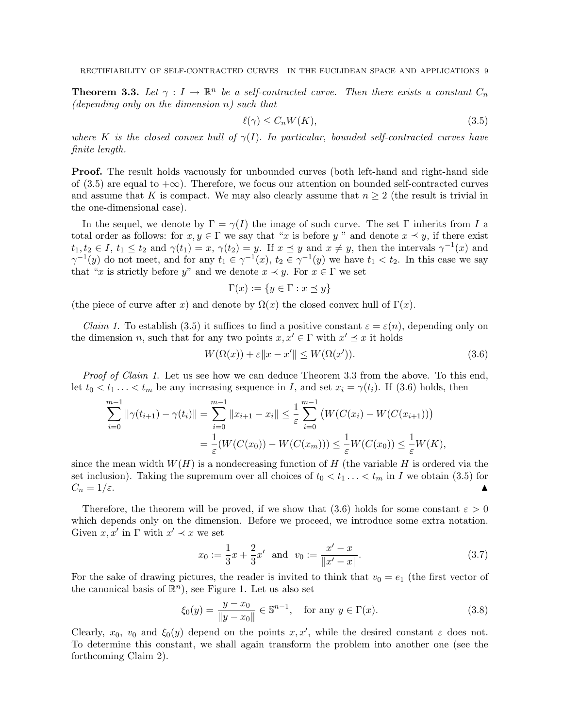**Theorem 3.3.** Let  $\gamma: I \to \mathbb{R}^n$  be a self-contracted curve. Then there exists a constant  $C_n$ (depending only on the dimension  $n$ ) such that

$$
\ell(\gamma) \le C_n W(K),\tag{3.5}
$$

where K is the closed convex hull of  $\gamma(I)$ . In particular, bounded self-contracted curves have finite length.

**Proof.** The result holds vacuously for unbounded curves (both left-hand and right-hand side of (3.5) are equal to  $+\infty$ ). Therefore, we focus our attention on bounded self-contracted curves and assume that K is compact. We may also clearly assume that  $n \geq 2$  (the result is trivial in the one-dimensional case).

In the sequel, we denote by  $\Gamma = \gamma(I)$  the image of such curve. The set  $\Gamma$  inherits from I a total order as follows: for  $x, y \in \Gamma$  we say that "x is before y" and denote  $x \preceq y$ , if there exist  $t_1, t_2 \in I$ ,  $t_1 \le t_2$  and  $\gamma(t_1) = x$ ,  $\gamma(t_2) = y$ . If  $x \preceq y$  and  $x \ne y$ , then the intervals  $\gamma^{-1}(x)$  and  $\gamma^{-1}(y)$  do not meet, and for any  $t_1 \in \gamma^{-1}(x)$ ,  $t_2 \in \gamma^{-1}(y)$  we have  $t_1 < t_2$ . In this case we say that "x is strictly before y" and we denote  $x \prec y$ . For  $x \in \Gamma$  we set

$$
\Gamma(x) := \{ y \in \Gamma : x \preceq y \}
$$

(the piece of curve after x) and denote by  $\Omega(x)$  the closed convex hull of  $\Gamma(x)$ .

*Claim 1.* To establish (3.5) it suffices to find a positive constant  $\varepsilon = \varepsilon(n)$ , depending only on the dimension n, such that for any two points  $x, x' \in \Gamma$  with  $x' \preceq x$  it holds

$$
W(\Omega(x)) + \varepsilon \|x - x'\| \le W(\Omega(x')). \tag{3.6}
$$

Proof of Claim 1. Let us see how we can deduce Theorem 3.3 from the above. To this end, let  $t_0 < t_1 \ldots < t_m$  be any increasing sequence in I, and set  $x_i = \gamma(t_i)$ . If (3.6) holds, then

$$
\sum_{i=0}^{m-1} \|\gamma(t_{i+1}) - \gamma(t_i)\| = \sum_{i=0}^{m-1} \|x_{i+1} - x_i\| \le \frac{1}{\varepsilon} \sum_{i=0}^{m-1} \left( W(C(x_i) - W(C(x_{i+1})) \right)
$$
  
= 
$$
\frac{1}{\varepsilon} (W(C(x_0)) - W(C(x_m))) \le \frac{1}{\varepsilon} W(C(x_0)) \le \frac{1}{\varepsilon} W(K),
$$

since the mean width  $W(H)$  is a nondecreasing function of H (the variable H is ordered via the set inclusion). Taking the supremum over all choices of  $t_0 < t_1 ... < t_m$  in I we obtain (3.5) for  $C_n = 1/\varepsilon.$ 

Therefore, the theorem will be proved, if we show that (3.6) holds for some constant  $\varepsilon > 0$ which depends only on the dimension. Before we proceed, we introduce some extra notation. Given  $x, x'$  in  $\Gamma$  with  $x' \prec x$  we set

$$
x_0 := \frac{1}{3}x + \frac{2}{3}x' \text{ and } v_0 := \frac{x'-x}{\|x'-x\|}.
$$
 (3.7)

For the sake of drawing pictures, the reader is invited to think that  $v_0 = e_1$  (the first vector of the canonical basis of  $\mathbb{R}^n$ , see Figure 1. Let us also set

$$
\xi_0(y) = \frac{y - x_0}{\|y - x_0\|} \in \mathbb{S}^{n-1}, \quad \text{for any } y \in \Gamma(x). \tag{3.8}
$$

Clearly,  $x_0$ ,  $v_0$  and  $\xi_0(y)$  depend on the points  $x, x'$ , while the desired constant  $\varepsilon$  does not. To determine this constant, we shall again transform the problem into another one (see the forthcoming Claim 2).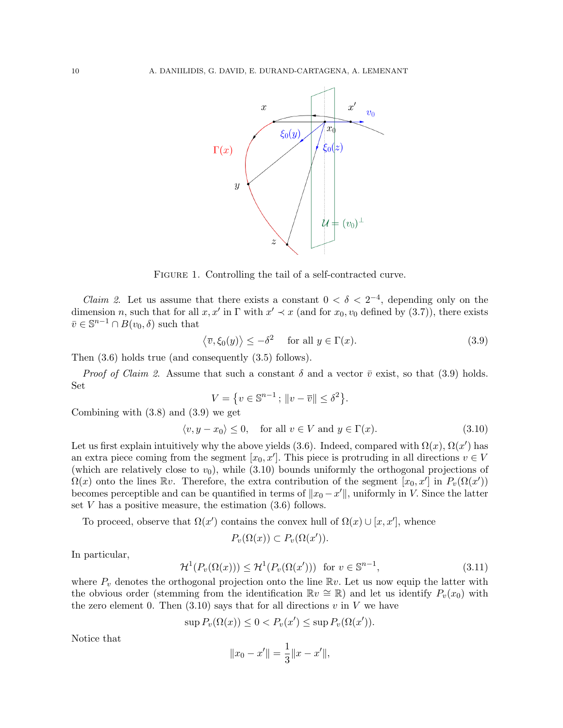

FIGURE 1. Controlling the tail of a self-contracted curve.

*Claim 2.* Let us assume that there exists a constant  $0 < \delta < 2^{-4}$ , depending only on the dimension n, such that for all  $x, x'$  in  $\Gamma$  with  $x' \prec x$  (and for  $x_0, v_0$  defined by (3.7)), there exists  $\bar{v} \in \mathbb{S}^{n-1} \cap B(v_0, \delta)$  such that

$$
\langle \overline{v}, \xi_0(y) \rangle \le -\delta^2 \quad \text{ for all } y \in \Gamma(x). \tag{3.9}
$$

Then (3.6) holds true (and consequently (3.5) follows).

*Proof of Claim 2.* Assume that such a constant  $\delta$  and a vector  $\bar{v}$  exist, so that (3.9) holds. Set

$$
V = \{ v \in \mathbb{S}^{n-1} \, ; \, \|v - \overline{v}\| \le \delta^2 \}.
$$

Combining with (3.8) and (3.9) we get

$$
\langle v, y - x_0 \rangle \le 0, \quad \text{for all } v \in V \text{ and } y \in \Gamma(x). \tag{3.10}
$$

Let us first explain intuitively why the above yields (3.6). Indeed, compared with  $\Omega(x)$ ,  $\Omega(x')$  has an extra piece coming from the segment  $[x_0, x']$ . This piece is protruding in all directions  $v \in V$ (which are relatively close to  $v_0$ ), while (3.10) bounds uniformly the orthogonal projections of  $\Omega(x)$  onto the lines  $\mathbb{R}v$ . Therefore, the extra contribution of the segment  $[x_0, x']$  in  $P_v(\Omega(x'))$ becomes perceptible and can be quantified in terms of  $||x_0 - x'||$ , uniformly in V. Since the latter set  $V$  has a positive measure, the estimation  $(3.6)$  follows.

To proceed, observe that  $\Omega(x')$  contains the convex hull of  $\Omega(x) \cup [x, x']$ , whence

$$
P_v(\Omega(x)) \subset P_v(\Omega(x')).
$$

In particular,

$$
\mathcal{H}^1(P_v(\Omega(x))) \le \mathcal{H}^1(P_v(\Omega(x'))) \text{ for } v \in \mathbb{S}^{n-1},\tag{3.11}
$$

where  $P_v$  denotes the orthogonal projection onto the line  $\mathbb{R}v$ . Let us now equip the latter with the obvious order (stemming from the identification  $\mathbb{R}v \cong \mathbb{R}$ ) and let us identify  $P_v(x_0)$  with the zero element 0. Then  $(3.10)$  says that for all directions v in V we have

$$
\sup P_v(\Omega(x)) \le 0 < P_v(x') \le \sup P_v(\Omega(x')).
$$

Notice that

$$
||x_0 - x'|| = \frac{1}{3}||x - x'||,
$$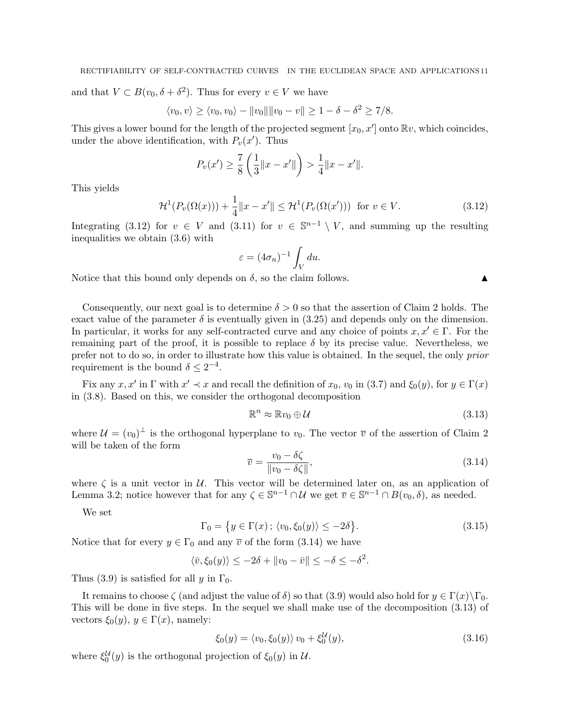and that  $V \subset B(v_0, \delta + \delta^2)$ . Thus for every  $v \in V$  we have

$$
\langle v_0, v \rangle \ge \langle v_0, v_0 \rangle - ||v_0|| ||v_0 - v|| \ge 1 - \delta - \delta^2 \ge 7/8.
$$

This gives a lower bound for the length of the projected segment  $[x_0, x']$  onto  $\mathbb{R}v$ , which coincides, under the above identification, with  $P_v(x')$ . Thus

$$
P_v(x') \ge \frac{7}{8} \left( \frac{1}{3} ||x - x'|| \right) > \frac{1}{4} ||x - x'||.
$$

This yields

$$
\mathcal{H}^1(P_v(\Omega(x))) + \frac{1}{4} \|x - x'\| \le \mathcal{H}^1(P_v(\Omega(x'))) \text{ for } v \in V. \tag{3.12}
$$

Integrating (3.12) for  $v \in V$  and (3.11) for  $v \in \mathbb{S}^{n-1} \setminus V$ , and summing up the resulting inequalities we obtain (3.6) with

$$
\varepsilon = (4\sigma_n)^{-1} \int_V du.
$$

Notice that this bound only depends on  $\delta$ , so the claim follows.

Consequently, our next goal is to determine  $\delta > 0$  so that the assertion of Claim 2 holds. The exact value of the parameter  $\delta$  is eventually given in (3.25) and depends only on the dimension. In particular, it works for any self-contracted curve and any choice of points  $x, x' \in \Gamma$ . For the remaining part of the proof, it is possible to replace  $\delta$  by its precise value. Nevertheless, we prefer not to do so, in order to illustrate how this value is obtained. In the sequel, the only prior requirement is the bound  $\delta \leq 2^{-4}$ .

Fix any  $x, x'$  in  $\Gamma$  with  $x' \prec x$  and recall the definition of  $x_0, v_0$  in (3.7) and  $\xi_0(y)$ , for  $y \in \Gamma(x)$ in (3.8). Based on this, we consider the orthogonal decomposition

$$
\mathbb{R}^n \approx \mathbb{R}v_0 \oplus \mathcal{U} \tag{3.13}
$$

where  $\mathcal{U} = (v_0)^{\perp}$  is the orthogonal hyperplane to  $v_0$ . The vector  $\overline{v}$  of the assertion of Claim 2 will be taken of the form

$$
\overline{v} = \frac{v_0 - \delta\zeta}{\|v_0 - \delta\zeta\|},\tag{3.14}
$$

where  $\zeta$  is a unit vector in  $\mathcal{U}$ . This vector will be determined later on, as an application of Lemma 3.2; notice however that for any  $\zeta \in \mathbb{S}^{n-1} \cap \mathcal{U}$  we get  $\overline{v} \in \mathbb{S}^{n-1} \cap B(v_0, \delta)$ , as needed.

We set

$$
\Gamma_0 = \left\{ y \in \Gamma(x) \, ; \, \langle v_0, \xi_0(y) \rangle \le -2\delta \right\}.
$$
\n
$$
(3.15)
$$

Notice that for every  $y \in \Gamma_0$  and any  $\overline{v}$  of the form (3.14) we have

$$
\langle \bar{v}, \xi_0(y) \rangle \le -2\delta + \|v_0 - \bar{v}\| \le -\delta \le -\delta^2.
$$

Thus (3.9) is satisfied for all y in  $\Gamma_0$ .

It remains to choose  $\zeta$  (and adjust the value of  $\delta$ ) so that (3.9) would also hold for  $y \in \Gamma(x)\backslash \Gamma_0$ . This will be done in five steps. In the sequel we shall make use of the decomposition (3.13) of vectors  $\xi_0(y)$ ,  $y \in \Gamma(x)$ , namely:

$$
\xi_0(y) = \langle v_0, \xi_0(y) \rangle v_0 + \xi_0^{\mathcal{U}}(y), \tag{3.16}
$$

where  $\xi_0^{\mathcal{U}}(y)$  is the orthogonal projection of  $\xi_0(y)$  in  $\mathcal{U}$ .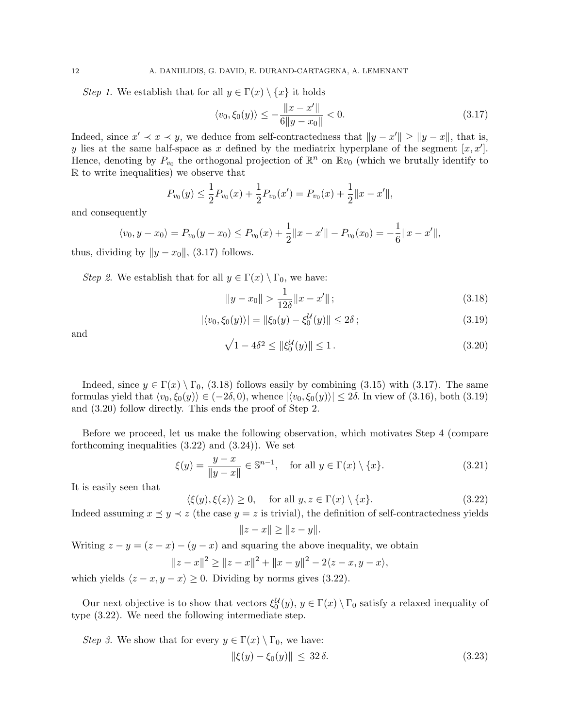Step 1. We establish that for all  $y \in \Gamma(x) \setminus \{x\}$  it holds

$$
\langle v_0, \xi_0(y) \rangle \le -\frac{\|x - x'\|}{6\|y - x_0\|} < 0. \tag{3.17}
$$

Indeed, since  $x' \prec x \prec y$ , we deduce from self-contractedness that  $||y - x'|| \ge ||y - x||$ , that is, y lies at the same half-space as x defined by the mediatrix hyperplane of the segment  $[x, x']$ . Hence, denoting by  $P_{v_0}$  the orthogonal projection of  $\mathbb{R}^n$  on  $\mathbb{R}v_0$  (which we brutally identify to R to write inequalities) we observe that

$$
P_{v_0}(y) \le \frac{1}{2} P_{v_0}(x) + \frac{1}{2} P_{v_0}(x') = P_{v_0}(x) + \frac{1}{2} ||x - x'||,
$$

and consequently

$$
\langle v_0, y - x_0 \rangle = P_{v_0}(y - x_0) \le P_{v_0}(x) + \frac{1}{2} ||x - x'|| - P_{v_0}(x_0) = -\frac{1}{6} ||x - x'||,
$$

thus, dividing by  $||y - x_0||$ , (3.17) follows.

Step 2. We establish that for all  $y \in \Gamma(x) \setminus \Gamma_0$ , we have:

$$
||y - x_0|| > \frac{1}{12\delta} ||x - x'||;
$$
\n(3.18)

$$
|\langle v_0, \xi_0(y) \rangle| = \|\xi_0(y) - \xi_0^{\mathcal{U}}(y)\| \le 2\delta\,;
$$
\n(3.19)

and

$$
\sqrt{1 - 4\delta^2} \le \|\xi_0^{\mathcal{U}}(y)\| \le 1. \tag{3.20}
$$

Indeed, since  $y \in \Gamma(x) \setminus \Gamma_0$ , (3.18) follows easily by combining (3.15) with (3.17). The same formulas yield that  $\langle v_0, \xi_0(y)\rangle \in (-2\delta, 0)$ , whence  $|\langle v_0, \xi_0(y)\rangle| \leq 2\delta$ . In view of (3.16), both (3.19) and (3.20) follow directly. This ends the proof of Step 2.

Before we proceed, let us make the following observation, which motivates Step 4 (compare forthcoming inequalities (3.22) and (3.24)). We set

$$
\xi(y) = \frac{y - x}{\|y - x\|} \in \mathbb{S}^{n-1}, \quad \text{for all } y \in \Gamma(x) \setminus \{x\}. \tag{3.21}
$$

It is easily seen that

$$
\langle \xi(y), \xi(z) \rangle \ge 0, \quad \text{for all } y, z \in \Gamma(x) \setminus \{x\}. \tag{3.22}
$$

Indeed assuming  $x \leq y \leq z$  (the case  $y = z$  is trivial), the definition of self-contractedness yields

$$
||z - x|| \ge ||z - y||.
$$

Writing  $z - y = (z - x) - (y - x)$  and squaring the above inequality, we obtain

$$
||z - x||^2 \ge ||z - x||^2 + ||x - y||^2 - 2\langle z - x, y - x \rangle,
$$

which yields  $\langle z - x, y - x \rangle \ge 0$ . Dividing by norms gives (3.22).

Our next objective is to show that vectors  $\xi_0^{\mathcal{U}}(y), y \in \Gamma(x) \setminus \Gamma_0$  satisfy a relaxed inequality of type (3.22). We need the following intermediate step.

*Step 3*. We show that for every  $y \in \Gamma(x) \setminus \Gamma_0$ , we have:

$$
\|\xi(y) - \xi_0(y)\| \le 32\,\delta. \tag{3.23}
$$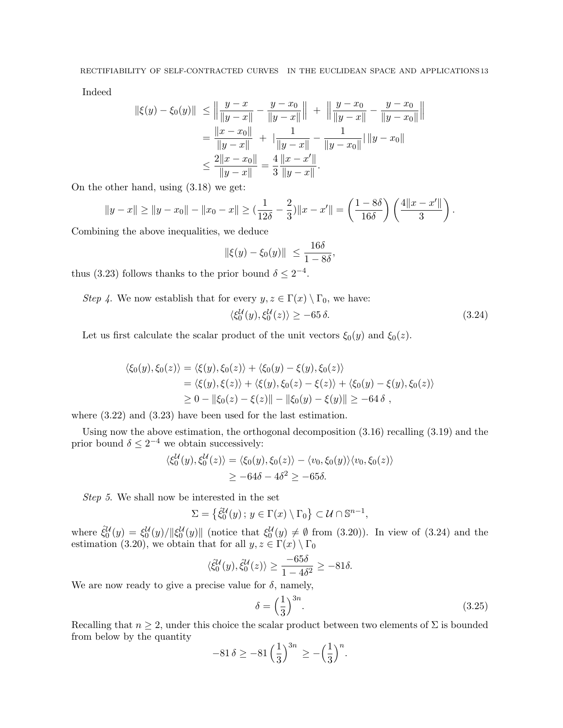Indeed

$$
\begin{aligned} \|\xi(y) - \xi_0(y)\| &\le \left\|\frac{y - x}{\|y - x\|} - \frac{y - x_0}{\|y - x\|}\right\| + \left\|\frac{y - x_0}{\|y - x\|} - \frac{y - x_0}{\|y - x_0\|}\right\| \\ &= \frac{\|x - x_0\|}{\|y - x\|} + \left|\frac{1}{\|y - x\|} - \frac{1}{\|y - x_0\|}\right| \|y - x_0\| \\ &\le \frac{2\|x - x_0\|}{\|y - x\|} = \frac{4}{3} \frac{\|x - x'\|}{\|y - x\|}. \end{aligned}
$$

On the other hand, using (3.18) we get:

$$
||y-x|| \ge ||y-x_0|| - ||x_0-x|| \ge \left(\frac{1}{12\delta} - \frac{2}{3}\right)||x-x'|| = \left(\frac{1-8\delta}{16\delta}\right)\left(\frac{4||x-x'||}{3}\right).
$$

Combining the above inequalities, we deduce

$$
\|\xi(y)-\xi_0(y)\| \le \frac{16\delta}{1-8\delta},
$$

thus (3.23) follows thanks to the prior bound  $\delta \leq 2^{-4}$ .

Step 4. We now establish that for every  $y, z \in \Gamma(x) \setminus \Gamma_0$ , we have:

$$
\langle \xi_0^{\mathcal{U}}(y), \xi_0^{\mathcal{U}}(z) \rangle \ge -65 \delta. \tag{3.24}
$$

Let us first calculate the scalar product of the unit vectors  $\xi_0(y)$  and  $\xi_0(z)$ .

$$
\langle \xi_0(y), \xi_0(z) \rangle = \langle \xi(y), \xi_0(z) \rangle + \langle \xi_0(y) - \xi(y), \xi_0(z) \rangle
$$
  
= \langle \xi(y), \xi(z) \rangle + \langle \xi(y), \xi\_0(z) - \xi(z) \rangle + \langle \xi\_0(y) - \xi(y), \xi\_0(z) \rangle  
\ge 0 - ||\xi\_0(z) - \xi(z)|| - ||\xi\_0(y) - \xi(y)|| \ge -64\delta,

where (3.22) and (3.23) have been used for the last estimation.

Using now the above estimation, the orthogonal decomposition (3.16) recalling (3.19) and the prior bound  $\delta \leq 2^{-4}$  we obtain successively:

$$
\langle \xi_0^{\mathcal{U}}(y), \xi_0^{\mathcal{U}}(z) \rangle = \langle \xi_0(y), \xi_0(z) \rangle - \langle v_0, \xi_0(y) \rangle \langle v_0, \xi_0(z) \rangle
$$
  
 
$$
\geq -64\delta - 4\delta^2 \geq -65\delta.
$$

Step 5. We shall now be interested in the set

$$
\Sigma = \left\{ \hat{\xi}_0^{\mathcal{U}}(y) \, ; \, y \in \Gamma(x) \setminus \Gamma_0 \right\} \subset \mathcal{U} \cap \mathbb{S}^{n-1},
$$

where  $\hat{\zeta}_0^{\mathcal{U}}(y) = \zeta_0^{\mathcal{U}}(y)/\|\zeta_0^{\mathcal{U}}(y)\|$  (notice that  $\zeta_0^{\mathcal{U}}(y) \neq \emptyset$  from (3.20)). In view of (3.24) and the estimation (3.20), we obtain that for all  $y, z \in \Gamma(x) \setminus \Gamma_0$ 

$$
\langle \hat{\xi}_0^{\mathcal{U}}(y), \hat{\xi}_0^{\mathcal{U}}(z) \rangle \ge \frac{-65\delta}{1 - 4\delta^2} \ge -81\delta.
$$

We are now ready to give a precise value for  $\delta$ , namely,

$$
\delta = \left(\frac{1}{3}\right)^{3n}.\tag{3.25}
$$

Recalling that  $n \geq 2$ , under this choice the scalar product between two elements of  $\Sigma$  is bounded from below by the quantity

$$
-81 \delta \ge -81 \left(\frac{1}{3}\right)^{3n} \ge -\left(\frac{1}{3}\right)^n.
$$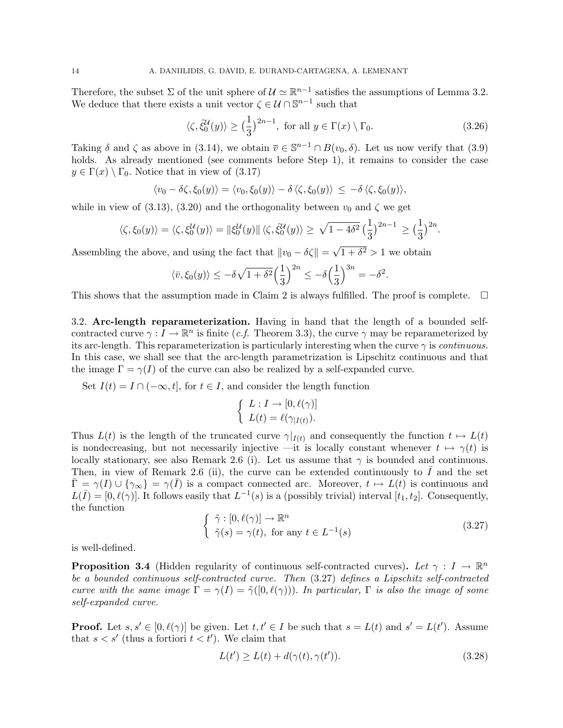Therefore, the subset  $\Sigma$  of the unit sphere of  $\mathcal{U} \simeq \mathbb{R}^{n-1}$  satisfies the assumptions of Lemma 3.2. We deduce that there exists a unit vector  $\zeta \in \mathcal{U} \cap \mathbb{S}^{n-1}$  such that

$$
\langle \zeta, \hat{\xi}_0^{\mathcal{U}}(y) \rangle \ge \left(\frac{1}{3}\right)^{2n-1}, \text{ for all } y \in \Gamma(x) \setminus \Gamma_0. \tag{3.26}
$$

Taking  $\delta$  and  $\zeta$  as above in (3.14), we obtain  $\overline{v} \in \mathbb{S}^{n-1} \cap B(v_0, \delta)$ . Let us now verify that (3.9) holds. As already mentioned (see comments before Step 1), it remains to consider the case  $y \in \Gamma(x) \setminus \Gamma_0$ . Notice that in view of (3.17)

$$
\langle v_0 - \delta \zeta, \xi_0(y) \rangle = \langle v_0, \xi_0(y) \rangle - \delta \langle \zeta, \xi_0(y) \rangle \leq -\delta \langle \zeta, \xi_0(y) \rangle,
$$

while in view of (3.13), (3.20) and the orthogonality between  $v_0$  and  $\zeta$  we get

$$
\langle \zeta, \xi_0(y) \rangle = \langle \zeta, \xi_0^{\mathcal{U}}(y) \rangle = \| \xi_0^{\mathcal{U}}(y) \| \langle \zeta, \hat{\xi}_0^{\mathcal{U}}(y) \rangle \ge \sqrt{1 - 4\delta^2} \left( \frac{1}{3} \right)^{2n-1} \ge \left( \frac{1}{3} \right)^{2n}.
$$

Assembling the above, and using the fact that  $||v_0 - \delta \zeta|| =$  $\overline{1+\delta^2} > 1$  we obtain

$$
\langle \bar{v}, \xi_0(y) \rangle \le -\delta \sqrt{1+\delta^2} \Big(\frac{1}{3}\Big)^{2n} \le -\delta \Big(\frac{1}{3}\Big)^{3n} = -\delta^2.
$$

This shows that the assumption made in Claim 2 is always fulfilled. The proof is complete.  $\square$ 

3.2. Arc-length reparameterization. Having in hand that the length of a bounded selfcontracted curve  $\gamma : I \to \mathbb{R}^n$  is finite (*c.f.* Theorem 3.3), the curve  $\gamma$  may be reparameterized by its arc-length. This reparameterization is particularly interesting when the curve  $\gamma$  is *continuous*. In this case, we shall see that the arc-length parametrization is Lipschitz continuous and that the image  $\Gamma = \gamma(I)$  of the curve can also be realized by a self-expanded curve.

Set  $I(t) = I \cap (-\infty, t]$ , for  $t \in I$ , and consider the length function

$$
\begin{cases} L: I \to [0, \ell(\gamma)] \\ L(t) = \ell(\gamma_{|I(t)}). \end{cases}
$$

Thus  $L(t)$  is the length of the truncated curve  $\gamma|_{I(t)}$  and consequently the function  $t \mapsto L(t)$ is nondecreasing, but not necessarily injective —it is locally constant whenever  $t \mapsto \gamma(t)$  is locally stationary, see also Remark 2.6 (i). Let us assume that  $\gamma$  is bounded and continuous. Then, in view of Remark 2.6 (ii), the curve can be extended continuously to  $I$  and the set  $\overline{\Gamma} = \gamma(I) \cup \{\gamma_{\infty}\} = \gamma(\overline{I})$  is a compact connected arc. Moreover,  $t \mapsto L(t)$  is continuous and  $L(\bar{I}) = [0, \ell(\gamma)]$ . It follows easily that  $L^{-1}(s)$  is a (possibly trivial) interval  $[t_1, t_2]$ . Consequently, the function

$$
\begin{cases} \tilde{\gamma} : [0, \ell(\gamma)] \to \mathbb{R}^n \\ \tilde{\gamma}(s) = \gamma(t), \text{ for any } t \in L^{-1}(s) \end{cases}
$$
 (3.27)

is well-defined.

**Proposition 3.4** (Hidden regularity of continuous self-contracted curves). Let  $\gamma : I \to \mathbb{R}^n$ be a bounded continuous self-contracted curve. Then (3.27) defines a Lipschitz self-contracted curve with the same image  $\Gamma = \gamma(I) = \tilde{\gamma}([0, \ell(\gamma))).$  In particular,  $\Gamma$  is also the image of some self-expanded curve.

**Proof.** Let  $s, s' \in [0, \ell(\gamma)]$  be given. Let  $t, t' \in I$  be such that  $s = L(t)$  and  $s' = L(t')$ . Assume that  $s < s'$  (thus a fortiori  $t < t'$ ). We claim that

$$
L(t') \ge L(t) + d(\gamma(t), \gamma(t')). \tag{3.28}
$$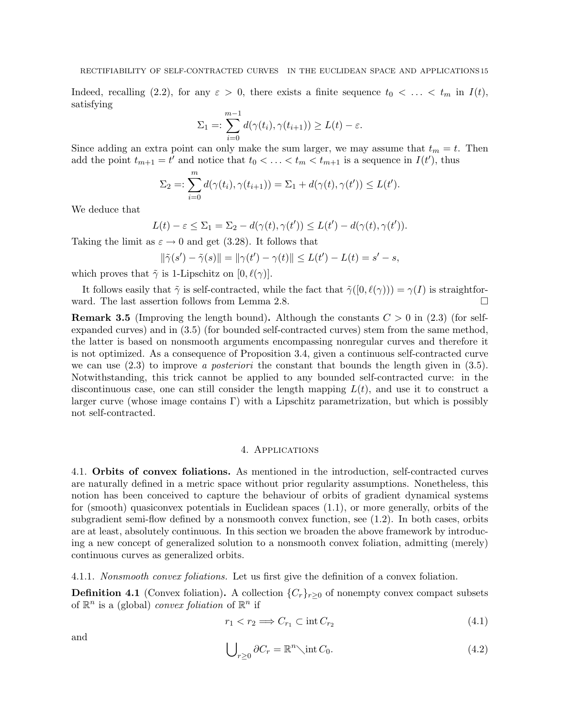Indeed, recalling (2.2), for any  $\varepsilon > 0$ , there exists a finite sequence  $t_0 < \ldots < t_m$  in  $I(t)$ , satisfying

$$
\Sigma_1 =: \sum_{i=0}^{m-1} d(\gamma(t_i), \gamma(t_{i+1})) \ge L(t) - \varepsilon.
$$

Since adding an extra point can only make the sum larger, we may assume that  $t_m = t$ . Then add the point  $t_{m+1} = t'$  and notice that  $t_0 < \ldots < t_m < t_{m+1}$  is a sequence in  $I(t')$ , thus

$$
\Sigma_2 =: \sum_{i=0}^m d(\gamma(t_i), \gamma(t_{i+1})) = \Sigma_1 + d(\gamma(t), \gamma(t')) \le L(t').
$$

We deduce that

$$
L(t) - \varepsilon \leq \Sigma_1 = \Sigma_2 - d(\gamma(t), \gamma(t')) \leq L(t') - d(\gamma(t), \gamma(t')).
$$

Taking the limit as  $\varepsilon \to 0$  and get (3.28). It follows that

$$
\|\tilde{\gamma}(s') - \tilde{\gamma}(s)\| = \|\gamma(t') - \gamma(t)\| \le L(t') - L(t) = s' - s,
$$

which proves that  $\tilde{\gamma}$  is 1-Lipschitz on  $[0, \ell(\gamma)].$ 

It follows easily that  $\tilde{\gamma}$  is self-contracted, while the fact that  $\tilde{\gamma}([0,\ell(\gamma))) = \gamma(I)$  is straightforward. The last assertion follows from Lemma 2.8.

**Remark 3.5** (Improving the length bound). Although the constants  $C > 0$  in (2.3) (for selfexpanded curves) and in (3.5) (for bounded self-contracted curves) stem from the same method, the latter is based on nonsmooth arguments encompassing nonregular curves and therefore it is not optimized. As a consequence of Proposition 3.4, given a continuous self-contracted curve we can use  $(2.3)$  to improve a posteriori the constant that bounds the length given in  $(3.5)$ . Notwithstanding, this trick cannot be applied to any bounded self-contracted curve: in the discontinuous case, one can still consider the length mapping  $L(t)$ , and use it to construct a larger curve (whose image contains  $\Gamma$ ) with a Lipschitz parametrization, but which is possibly not self-contracted.

#### 4. Applications

4.1. Orbits of convex foliations. As mentioned in the introduction, self-contracted curves are naturally defined in a metric space without prior regularity assumptions. Nonetheless, this notion has been conceived to capture the behaviour of orbits of gradient dynamical systems for (smooth) quasiconvex potentials in Euclidean spaces (1.1), or more generally, orbits of the subgradient semi-flow defined by a nonsmooth convex function, see (1.2). In both cases, orbits are at least, absolutely continuous. In this section we broaden the above framework by introducing a new concept of generalized solution to a nonsmooth convex foliation, admitting (merely) continuous curves as generalized orbits.

4.1.1. Nonsmooth convex foliations. Let us first give the definition of a convex foliation.

**Definition 4.1** (Convex foliation). A collection  $\{C_r\}_{r>0}$  of nonempty convex compact subsets of  $\mathbb{R}^n$  is a (global) *convex foliation* of  $\mathbb{R}^n$  if

$$
r_1 < r_2 \Longrightarrow C_{r_1} \subset \text{int}\, C_{r_2} \tag{4.1}
$$

and

$$
\bigcup_{r\geq 0} \partial C_r = \mathbb{R}^n \setminus \text{int } C_0. \tag{4.2}
$$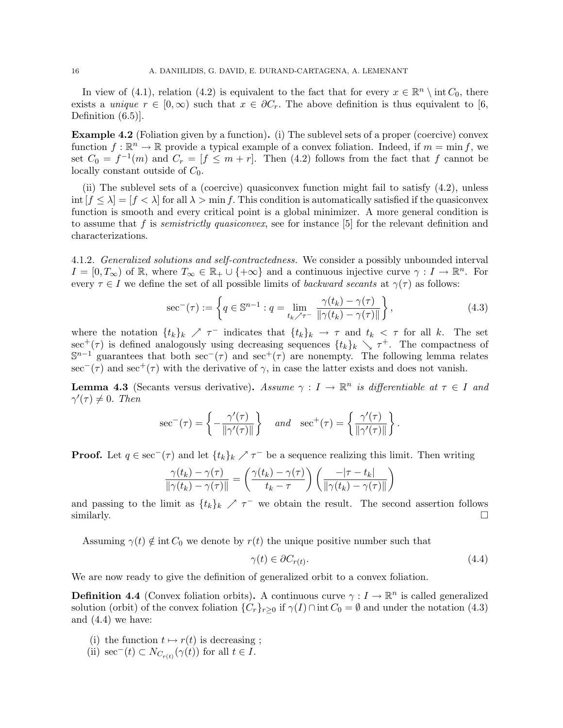In view of (4.1), relation (4.2) is equivalent to the fact that for every  $x \in \mathbb{R}^n \setminus \text{int } C_0$ , there exists a unique  $r \in [0,\infty)$  such that  $x \in \partial C_r$ . The above definition is thus equivalent to [6, Definition  $(6.5)$ .

Example 4.2 (Foliation given by a function). (i) The sublevel sets of a proper (coercive) convex function  $f: \mathbb{R}^n \to \mathbb{R}$  provide a typical example of a convex foliation. Indeed, if  $m = \min f$ , we set  $C_0 = f^{-1}(m)$  and  $C_r = [f \leq m + r]$ . Then (4.2) follows from the fact that f cannot be locally constant outside of  $C_0$ .

(ii) The sublevel sets of a (coercive) quasiconvex function might fail to satisfy  $(4.2)$ , unless int  $[f \leq \lambda] = [f \lt \lambda]$  for all  $\lambda > \min f$ . This condition is automatically satisfied if the quasiconvex function is smooth and every critical point is a global minimizer. A more general condition is to assume that f is *semistrictly quasiconvex*, see for instance  $[5]$  for the relevant definition and characterizations.

4.1.2. Generalized solutions and self-contractedness. We consider a possibly unbounded interval  $I = [0, T_{\infty})$  of R, where  $T_{\infty} \in \mathbb{R}_{+} \cup \{+\infty\}$  and a continuous injective curve  $\gamma : I \to \mathbb{R}^{n}$ . For every  $\tau \in I$  we define the set of all possible limits of *backward secants* at  $\gamma(\tau)$  as follows:

$$
\sec^{-}(\tau) := \left\{ q \in \mathbb{S}^{n-1} : q = \lim_{t_k \nearrow \tau^{-}} \frac{\gamma(t_k) - \gamma(\tau)}{\|\gamma(t_k) - \gamma(\tau)\|} \right\},\tag{4.3}
$$

where the notation  $\{t_k\}_k \nearrow \tau^-$  indicates that  $\{t_k\}_k \rightarrow \tau$  and  $t_k < \tau$  for all k. The set sec<sup>+</sup>( $\tau$ ) is defined analogously using decreasing sequences  $\{t_k\}_k \searrow \tau^+$ . The compactness of  $\mathbb{S}^{n-1}$  guarantees that both sec<sup>-</sup>(τ) and sec<sup>+</sup>(τ) are nonempty. The following lemma relates  $\sec^-(\tau)$  and  $\sec^+(\tau)$  with the derivative of  $\gamma$ , in case the latter exists and does not vanish.

**Lemma 4.3** (Secants versus derivative). Assume  $\gamma : I \to \mathbb{R}^n$  is differentiable at  $\tau \in I$  and  $\gamma'(\tau) \neq 0$ . Then

$$
\sec^{-}(\tau) = \left\{ -\frac{\gamma'(\tau)}{\|\gamma'(\tau)\|} \right\} \quad \text{and} \quad \sec^{+}(\tau) = \left\{ \frac{\gamma'(\tau)}{\|\gamma'(\tau)\|} \right\}.
$$

**Proof.** Let  $q \in \sec^{-}(\tau)$  and let  $\{t_k\}_k \nearrow \tau^{-}$  be a sequence realizing this limit. Then writing

$$
\frac{\gamma(t_k) - \gamma(\tau)}{\|\gamma(t_k) - \gamma(\tau)\|} = \left(\frac{\gamma(t_k) - \gamma(\tau)}{t_k - \tau}\right) \left(\frac{-|\tau - t_k|}{\|\gamma(t_k) - \gamma(\tau)\|}\right)
$$

and passing to the limit as  $\{t_k\}_k \nearrow \tau^-$  we obtain the result. The second assertion follows similarly.  $\Box$ 

Assuming  $\gamma(t) \notin \text{int } C_0$  we denote by  $r(t)$  the unique positive number such that

$$
\gamma(t) \in \partial C_{r(t)}.\tag{4.4}
$$

We are now ready to give the definition of generalized orbit to a convex foliation.

**Definition 4.4** (Convex foliation orbits). A continuous curve  $\gamma: I \to \mathbb{R}^n$  is called generalized solution (orbit) of the convex foliation  $\{C_r\}_{r>0}$  if  $\gamma(I)\cap \text{int } C_0 = \emptyset$  and under the notation (4.3) and (4.4) we have:

- (i) the function  $t \mapsto r(t)$  is decreasing ;
- (ii)  $\sec^{-}(t) \subset N_{C_{r(t)}}(\gamma(t))$  for all  $t \in I$ .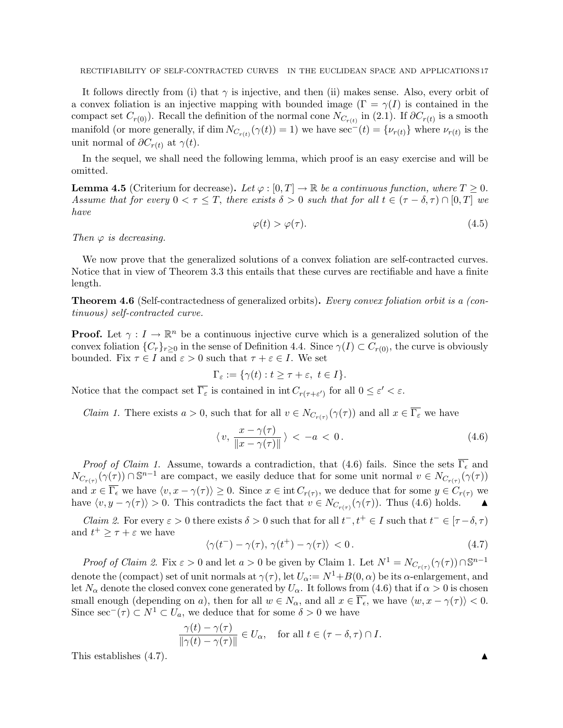It follows directly from (i) that  $\gamma$  is injective, and then (ii) makes sense. Also, every orbit of a convex foliation is an injective mapping with bounded image  $(\Gamma = \gamma(I))$  is contained in the compact set  $C_{r(0)}$ ). Recall the definition of the normal cone  $N_{C_{r(t)}}$  in (2.1). If  $\partial C_{r(t)}$  is a smooth manifold (or more generally, if dim  $N_{C_{r(t)}}(\gamma(t)) = 1$ ) we have sec<sup>-</sup>(t) = { $\nu_{r(t)}$ } where  $\nu_{r(t)}$  is the unit normal of  $\partial C_{r(t)}$  at  $\gamma(t)$ .

In the sequel, we shall need the following lemma, which proof is an easy exercise and will be omitted.

**Lemma 4.5** (Criterium for decrease). Let  $\varphi : [0, T] \to \mathbb{R}$  be a continuous function, where  $T \geq 0$ . Assume that for every  $0 < \tau \leq T$ , there exists  $\delta > 0$  such that for all  $t \in (\tau - \delta, \tau) \cap [0, T]$  we have

$$
\varphi(t) > \varphi(\tau). \tag{4.5}
$$

Then  $\varphi$  is decreasing.

We now prove that the generalized solutions of a convex foliation are self-contracted curves. Notice that in view of Theorem 3.3 this entails that these curves are rectifiable and have a finite length.

Theorem 4.6 (Self-contractedness of generalized orbits). Every convex foliation orbit is a (continuous) self-contracted curve.

**Proof.** Let  $\gamma: I \to \mathbb{R}^n$  be a continuous injective curve which is a generalized solution of the convex foliation  ${C_r}_{r\geq0}$  in the sense of Definition 4.4. Since  $\gamma(I) \subset C_{r(0)}$ , the curve is obviously bounded. Fix  $\tau \in I$  and  $\varepsilon > 0$  such that  $\tau + \varepsilon \in I$ . We set

$$
\Gamma_{\varepsilon} := \{ \gamma(t) : t \ge \tau + \varepsilon, \ t \in I \}.
$$

Notice that the compact set  $\overline{\Gamma_{\varepsilon}}$  is contained in  $\text{int } C_{r(\tau + \varepsilon') }$  for all  $0 \leq \varepsilon' < \varepsilon$ .

*Claim 1*. There exists  $a > 0$ , such that for all  $v \in N_{C_{r(\tau)}}(\gamma(\tau))$  and all  $x \in \Gamma_{\varepsilon}$  we have

$$
\langle v, \frac{x - \gamma(\tau)}{\|x - \gamma(\tau)\|} \rangle < -a < 0. \tag{4.6}
$$

*Proof of Claim 1.* Assume, towards a contradiction, that (4.6) fails. Since the sets  $\overline{\Gamma_{\epsilon}}$  and  $N_{C_{r(\tau)}}(\gamma(\tau)) \cap \mathbb{S}^{n-1}$  are compact, we easily deduce that for some unit normal  $v \in N_{C_{r(\tau)}}(\gamma(\tau))$ and  $x \in \Gamma_{\epsilon}$  we have  $\langle v, x - \gamma(\tau) \rangle \geq 0$ . Since  $x \in \text{int } C_{r(\tau)}$ , we deduce that for some  $y \in C_{r(\tau)}$  we have  $\langle v, y - \gamma(\tau) \rangle > 0$ . This contradicts the fact that  $v \in N_{C_{r(\tau)}}(\gamma(\tau))$ . Thus (4.6) holds.

*Claim 2.* For every  $\varepsilon > 0$  there exists  $\delta > 0$  such that for all  $t^-, t^+ \in I$  such that  $t^- \in [\tau - \delta, \tau)$ and  $t^+ \geq \tau + \varepsilon$  we have

$$
\langle \gamma(t^{-}) - \gamma(\tau), \gamma(t^{+}) - \gamma(\tau) \rangle < 0.
$$
\n(4.7)

*Proof of Claim 2.* Fix  $\varepsilon > 0$  and let  $a > 0$  be given by Claim 1. Let  $N^1 = N_{C_{r(\tau)}}(\gamma(\tau)) \cap \mathbb{S}^{n-1}$ denote the (compact) set of unit normals at  $\gamma(\tau)$ , let  $U_{\alpha}:=N^{1}+B(0,\alpha)$  be its  $\alpha$ -enlargement, and let  $N_\alpha$  denote the closed convex cone generated by  $U_\alpha$ . It follows from (4.6) that if  $\alpha > 0$  is chosen small enough (depending on a), then for all  $w \in N_\alpha$ , and all  $x \in \overline{\Gamma_\epsilon}$ , we have  $\langle w, x - \gamma(\tau) \rangle < 0$ . Since  $\sec^{-}(\tau) \subset N^{1} \subset U_{a}$ , we deduce that for some  $\delta > 0$  we have

$$
\frac{\gamma(t) - \gamma(\tau)}{\|\gamma(t) - \gamma(\tau)\|} \in U_{\alpha}, \quad \text{for all } t \in (\tau - \delta, \tau) \cap I.
$$

This establishes  $(4.7)$ .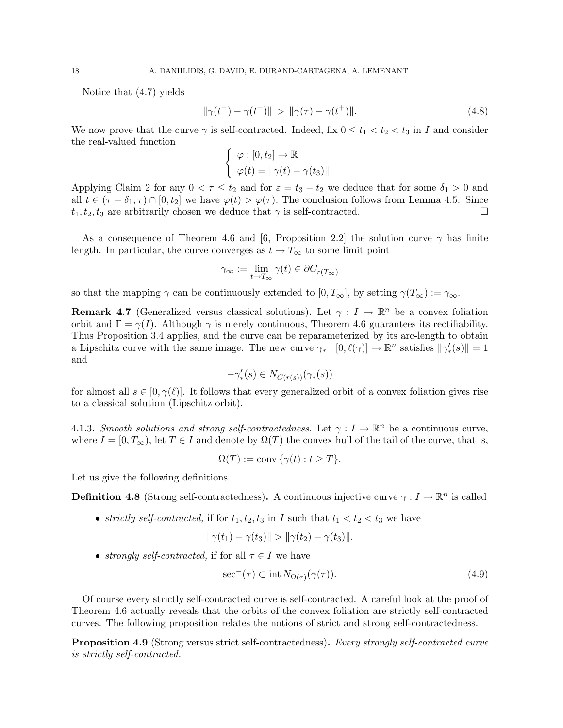Notice that (4.7) yields

$$
\|\gamma(t^{-}) - \gamma(t^{+})\| > \|\gamma(\tau) - \gamma(t^{+})\|.\tag{4.8}
$$

We now prove that the curve  $\gamma$  is self-contracted. Indeed, fix  $0 \le t_1 < t_2 < t_3$  in I and consider the real-valued function

$$
\begin{cases} \varphi : [0, t_2] \to \mathbb{R} \\ \varphi(t) = \|\gamma(t) - \gamma(t_3)\| \end{cases}
$$

Applying Claim 2 for any  $0 < \tau \leq t_2$  and for  $\varepsilon = t_3 - t_2$  we deduce that for some  $\delta_1 > 0$  and all  $t \in (\tau - \delta_1, \tau) \cap [0, t_2]$  we have  $\varphi(t) > \varphi(\tau)$ . The conclusion follows from Lemma 4.5. Since  $t_1, t_2, t_3$  are arbitrarily chosen we deduce that  $\gamma$  is self-contracted.

As a consequence of Theorem 4.6 and [6, Proposition 2.2] the solution curve  $\gamma$  has finite length. In particular, the curve converges as  $t \to T_\infty$  to some limit point

$$
\gamma_{\infty} := \lim_{t \to T_{\infty}} \gamma(t) \in \partial C_{r(T_{\infty})}
$$

so that the mapping  $\gamma$  can be continuously extended to  $[0, T_{\infty}]$ , by setting  $\gamma(T_{\infty}) := \gamma_{\infty}$ .

**Remark 4.7** (Generalized versus classical solutions). Let  $\gamma: I \to \mathbb{R}^n$  be a convex foliation orbit and  $\Gamma = \gamma(I)$ . Although  $\gamma$  is merely continuous, Theorem 4.6 guarantees its rectifiability. Thus Proposition 3.4 applies, and the curve can be reparameterized by its arc-length to obtain a Lipschitz curve with the same image. The new curve  $\gamma_* : [0, \ell(\gamma)] \to \mathbb{R}^n$  satisfies  $\|\gamma'_*(s)\| = 1$ and

$$
-\gamma'_*(s) \in N_{C(r(s))}(\gamma_*(s))
$$

for almost all  $s \in [0, \gamma(\ell)]$ . It follows that every generalized orbit of a convex foliation gives rise to a classical solution (Lipschitz orbit).

4.1.3. Smooth solutions and strong self-contractedness. Let  $\gamma : I \to \mathbb{R}^n$  be a continuous curve, where  $I = [0, T_{\infty})$ , let  $T \in I$  and denote by  $\Omega(T)$  the convex hull of the tail of the curve, that is,

$$
\Omega(T) := \text{conv}\,\{\gamma(t) : t \geq T\}.
$$

Let us give the following definitions.

**Definition 4.8** (Strong self-contractedness). A continuous injective curve  $\gamma: I \to \mathbb{R}^n$  is called

• strictly self-contracted, if for  $t_1, t_2, t_3$  in I such that  $t_1 < t_2 < t_3$  we have

$$
\|\gamma(t_1)-\gamma(t_3)\| > \|\gamma(t_2)-\gamma(t_3)\|.
$$

• strongly self-contracted, if for all  $\tau \in I$  we have

$$
\sec^{-}(\tau) \subset \mathrm{int} N_{\Omega(\tau)}(\gamma(\tau)).\tag{4.9}
$$

Of course every strictly self-contracted curve is self-contracted. A careful look at the proof of Theorem 4.6 actually reveals that the orbits of the convex foliation are strictly self-contracted curves. The following proposition relates the notions of strict and strong self-contractedness.

**Proposition 4.9** (Strong versus strict self-contractedness). Every strongly self-contracted curve is strictly self-contracted.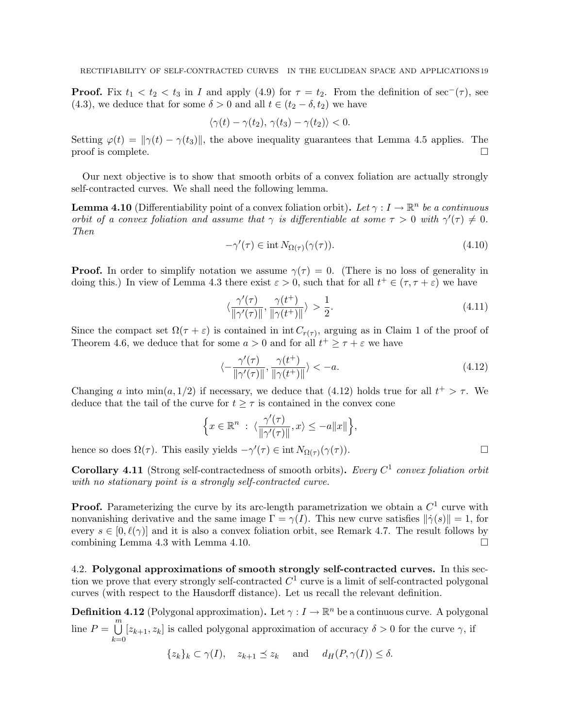**Proof.** Fix  $t_1 < t_2 < t_3$  in I and apply (4.9) for  $\tau = t_2$ . From the definition of sec<sup>-</sup>( $\tau$ ), see (4.3), we deduce that for some  $\delta > 0$  and all  $t \in (t_2 - \delta, t_2)$  we have

$$
\langle \gamma(t) - \gamma(t_2), \, \gamma(t_3) - \gamma(t_2) \rangle < 0.
$$

Setting  $\varphi(t) = ||\gamma(t) - \gamma(t_3)||$ , the above inequality guarantees that Lemma 4.5 applies. The proof is complete.  $\Box$ 

Our next objective is to show that smooth orbits of a convex foliation are actually strongly self-contracted curves. We shall need the following lemma.

**Lemma 4.10** (Differentiability point of a convex foliation orbit). Let  $\gamma: I \to \mathbb{R}^n$  be a continuous orbit of a convex foliation and assume that  $\gamma$  is differentiable at some  $\tau > 0$  with  $\gamma'(\tau) \neq 0$ . Then

$$
-\gamma'(\tau) \in \text{int} \, N_{\Omega(\tau)}(\gamma(\tau)). \tag{4.10}
$$

**Proof.** In order to simplify notation we assume  $\gamma(\tau) = 0$ . (There is no loss of generality in doing this.) In view of Lemma 4.3 there exist  $\varepsilon > 0$ , such that for all  $t^+ \in (\tau, \tau + \varepsilon)$  we have

$$
\langle \frac{\gamma'(\tau)}{\|\gamma'(\tau)\|}, \frac{\gamma(t^+)}{\|\gamma(t^+)\|} \rangle > \frac{1}{2}.\tag{4.11}
$$

Since the compact set  $\Omega(\tau + \varepsilon)$  is contained in int  $C_{r(\tau)}$ , arguing as in Claim 1 of the proof of Theorem 4.6, we deduce that for some  $a > 0$  and for all  $t^+ \geq \tau + \varepsilon$  we have

$$
\langle -\frac{\gamma'(\tau)}{\|\gamma'(\tau)\|}, \frac{\gamma(t^+)}{\|\gamma(t^+)\|} \rangle < -a. \tag{4.12}
$$

Changing a into  $\min(a, 1/2)$  if necessary, we deduce that (4.12) holds true for all  $t^+ > \tau$ . We deduce that the tail of the curve for  $t \geq \tau$  is contained in the convex cone

$$
\Big\{x\in\mathbb{R}^n\ :\ \langle \frac{\gamma'(\tau)}{\|\gamma'(\tau)\|},x\rangle\leq -a\|x\|\Big\},
$$

hence so does  $\Omega(\tau)$ . This easily yields  $-\gamma'(\tau) \in \text{int } N_{\Omega(\tau)}(\gamma(\tau))$ .

**Corollary 4.11** (Strong self-contractedness of smooth orbits). Every  $C^1$  convex foliation orbit with no stationary point is a strongly self-contracted curve.

**Proof.** Parameterizing the curve by its arc-length parametrization we obtain a  $C<sup>1</sup>$  curve with nonvanishing derivative and the same image  $\Gamma = \gamma(I)$ . This new curve satisfies  $\|\dot{\gamma}(s)\| = 1$ , for every  $s \in [0, \ell(\gamma)]$  and it is also a convex foliation orbit, see Remark 4.7. The result follows by combining Lemma 4.3 with Lemma 4.10.

4.2. Polygonal approximations of smooth strongly self-contracted curves. In this section we prove that every strongly self-contracted  $C^1$  curve is a limit of self-contracted polygonal curves (with respect to the Hausdorff distance). Let us recall the relevant definition.

**Definition 4.12** (Polygonal approximation). Let  $\gamma: I \to \mathbb{R}^n$  be a continuous curve. A polygonal line  $P = \bigcup^{m}$  $_{k=0}$  $[z_{k+1}, z_k]$  is called polygonal approximation of accuracy  $\delta > 0$  for the curve  $\gamma$ , if

$$
\{z_k\}_k \subset \gamma(I), \quad z_{k+1} \preceq z_k \quad \text{and} \quad d_H(P, \gamma(I)) \leq \delta.
$$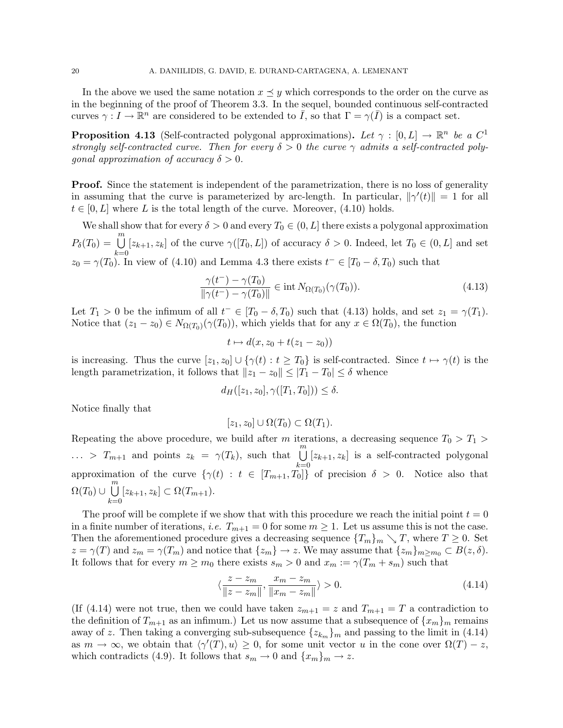In the above we used the same notation  $x \preceq y$  which corresponds to the order on the curve as in the beginning of the proof of Theorem 3.3. In the sequel, bounded continuous self-contracted curves  $\gamma: I \to \mathbb{R}^n$  are considered to be extended to  $\overline{I}$ , so that  $\Gamma = \gamma(\overline{I})$  is a compact set.

**Proposition 4.13** (Self-contracted polygonal approximations). Let  $\gamma : [0, L] \to \mathbb{R}^n$  be a  $C^1$ strongly self-contracted curve. Then for every  $\delta > 0$  the curve  $\gamma$  admits a self-contracted poly*gonal approximation of accuracy*  $\delta > 0$ .

**Proof.** Since the statement is independent of the parametrization, there is no loss of generality in assuming that the curve is parameterized by arc-length. In particular,  $\|\gamma'(t)\| = 1$  for all  $t \in [0, L]$  where L is the total length of the curve. Moreover, (4.10) holds.

We shall show that for every  $\delta > 0$  and every  $T_0 \in (0, L]$  there exists a polygonal approximation  $P_\delta(T_0) = \bigcup^m$  $_{k=0}$  $[z_{k+1}, z_k]$  of the curve  $\gamma([T_0, L])$  of accuracy  $\delta > 0$ . Indeed, let  $T_0 \in (0, L]$  and set  $z_0 = \gamma(T_0)$ . In view of (4.10) and Lemma 4.3 there exists  $t^- \in [T_0 - \delta, T_0)$  such that

$$
\frac{\gamma(t^{-}) - \gamma(T_0)}{\|\gamma(t^{-}) - \gamma(T_0)\|} \in \text{int } N_{\Omega(T_0)}(\gamma(T_0)).
$$
\n(4.13)

Let  $T_1 > 0$  be the infimum of all  $t^- \in [T_0 - \delta, T_0)$  such that (4.13) holds, and set  $z_1 = \gamma(T_1)$ . Notice that  $(z_1 - z_0) \in N_{\Omega(T_0)}(\gamma(T_0))$ , which yields that for any  $x \in \Omega(T_0)$ , the function

$$
t \mapsto d(x, z_0 + t(z_1 - z_0))
$$

is increasing. Thus the curve  $[z_1, z_0] \cup {\{\gamma(t) : t \geq T_0\}}$  is self-contracted. Since  $t \mapsto \gamma(t)$  is the length parametrization, it follows that  $||z_1 - z_0|| \leq |T_1 - T_0| \leq \delta$  whence

$$
d_H([z_1, z_0], \gamma([T_1, T_0])) \le \delta.
$$

Notice finally that

$$
[z_1, z_0] \cup \Omega(T_0) \subset \Omega(T_1).
$$

Repeating the above procedure, we build after m iterations, a decreasing sequence  $T_0 > T_1 >$  $\ldots > T_{m+1}$  and points  $z_k = \gamma(T_k)$ , such that  $\bigcup^m$  $_{k=0}$  $[z_{k+1}, z_k]$  is a self-contracted polygonal approximation of the curve  $\{\gamma(t) : t \in [T_{m+1}, T_0]\}$  of precision  $\delta > 0$ . Notice also that  $\Omega(T_0) \cup \bigcup^m$  $_{k=0}$  $[z_{k+1}, z_k] \subset \Omega(T_{m+1}).$ 

The proof will be complete if we show that with this procedure we reach the initial point  $t = 0$ in a finite number of iterations, *i.e.*  $T_{m+1} = 0$  for some  $m \ge 1$ . Let us assume this is not the case. Then the aforementioned procedure gives a decreasing sequence  $\{T_m\}_m \searrow T$ , where  $T \geq 0$ . Set  $z = \gamma(T)$  and  $z_m = \gamma(T_m)$  and notice that  $\{z_m\} \to z$ . We may assume that  $\{z_m\}_{m \ge m_0} \subset B(z, \delta)$ . It follows that for every  $m \geq m_0$  there exists  $s_m > 0$  and  $x_m := \gamma(T_m + s_m)$  such that

$$
\langle \frac{z - z_m}{\|z - z_m\|}, \frac{x_m - z_m}{\|x_m - z_m\|} \rangle > 0.
$$
\n(4.14)

(If (4.14) were not true, then we could have taken  $z_{m+1} = z$  and  $T_{m+1} = T$  a contradiction to the definition of  $T_{m+1}$  as an infimum.) Let us now assume that a subsequence of  $\{x_m\}_m$  remains away of z. Then taking a converging sub-subsequence  $\{z_{k_m}\}_m$  and passing to the limit in (4.14) as  $m \to \infty$ , we obtain that  $\langle \gamma'(T), u \rangle \geq 0$ , for some unit vector u in the cone over  $\Omega(T) - z$ , which contradicts (4.9). It follows that  $s_m \to 0$  and  $\{x_m\}_m \to z$ .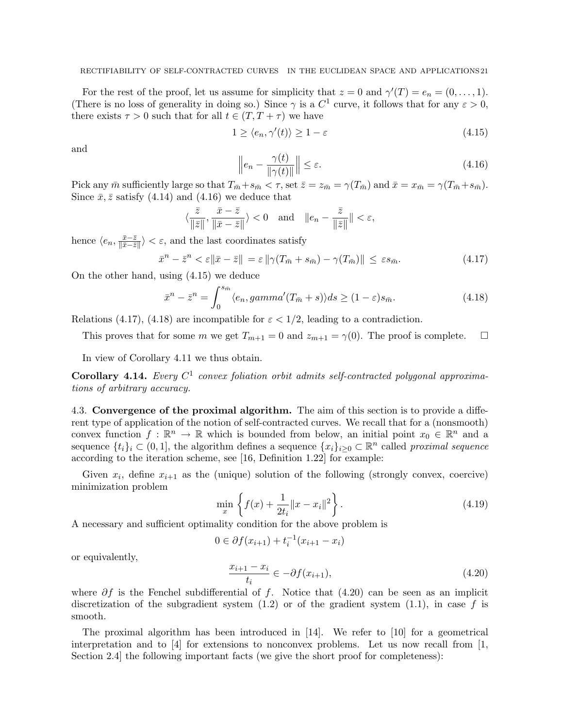For the rest of the proof, let us assume for simplicity that  $z = 0$  and  $\gamma'(T) = e_n = (0, \ldots, 1)$ . (There is no loss of generality in doing so.) Since  $\gamma$  is a  $C^1$  curve, it follows that for any  $\varepsilon > 0$ , there exists  $\tau > 0$  such that for all  $t \in (T, T + \tau)$  we have

$$
1 \ge \langle e_n, \gamma'(t) \rangle \ge 1 - \varepsilon \tag{4.15}
$$

and

$$
\left\| e_n - \frac{\gamma(t)}{\|\gamma(t)\|} \right\| \le \varepsilon. \tag{4.16}
$$

Pick any  $\bar{m}$  sufficiently large so that  $T_{\bar{m}} + s_{\bar{m}} < \tau$ , set  $\bar{z} = z_{\bar{m}} = \gamma(T_{\bar{m}})$  and  $\bar{x} = x_{\bar{m}} = \gamma(T_{\bar{m}} + s_{\bar{m}})$ . Since  $\bar{x}, \bar{z}$  satisfy (4.14) and (4.16) we deduce that

$$
\langle \frac{\bar{z}}{\|\bar{z}\|}, \frac{\bar{x}-\bar{z}}{\|\bar{x}-\bar{z}\|}\rangle < 0
$$
 and  $||e_n - \frac{\bar{z}}{\|\bar{z}\|}|| < \varepsilon$ ,

hence  $\langle e_n, \frac{\bar{x}-\bar{z}}{\|\bar{x}-\bar{z}\|}$  $\frac{\bar{x}-\bar{z}}{\|\bar{x}-\bar{z}\|}$  <  $\varepsilon$ , and the last coordinates satisfy

$$
\bar{x}^n - \bar{z}^n < \varepsilon \|\bar{x} - \bar{z}\| = \varepsilon \|\gamma(T_{\bar{m}} + s_{\bar{m}}) - \gamma(T_{\bar{m}})\| \le \varepsilon s_{\bar{m}}.\tag{4.17}
$$

On the other hand, using (4.15) we deduce

$$
\bar{x}^n - \bar{z}^n = \int_0^{s_{\bar{m}}} \langle e_n, \operatorname{gamma}'(T_{\bar{m}} + s) \rangle ds \ge (1 - \varepsilon)s_{\bar{m}}.
$$
\n(4.18)

Relations (4.17), (4.18) are incompatible for  $\varepsilon < 1/2$ , leading to a contradiction.

This proves that for some m we get  $T_{m+1} = 0$  and  $z_{m+1} = \gamma(0)$ . The proof is complete.  $\Box$ 

In view of Corollary 4.11 we thus obtain.

**Corollary 4.14.** Every  $C^1$  convex foliation orbit admits self-contracted polygonal approximations of arbitrary accuracy.

4.3. Convergence of the proximal algorithm. The aim of this section is to provide a different type of application of the notion of self-contracted curves. We recall that for a (nonsmooth) convex function  $f : \mathbb{R}^n \to \mathbb{R}$  which is bounded from below, an initial point  $x_0 \in \mathbb{R}^n$  and a sequence  $\{t_i\}_i \subset (0,1]$ , the algorithm defines a sequence  $\{x_i\}_{i\geq 0} \subset \mathbb{R}^n$  called proximal sequence according to the iteration scheme, see [16, Definition 1.22] for example:

Given  $x_i$ , define  $x_{i+1}$  as the (unique) solution of the following (strongly convex, coercive) minimization problem

$$
\min_{x} \left\{ f(x) + \frac{1}{2t_i} ||x - x_i||^2 \right\}.
$$
\n(4.19)

A necessary and sufficient optimality condition for the above problem is

$$
0 \in \partial f(x_{i+1}) + t_i^{-1}(x_{i+1} - x_i)
$$

or equivalently,

$$
\frac{x_{i+1} - x_i}{t_i} \in -\partial f(x_{i+1}),\tag{4.20}
$$

where  $\partial f$  is the Fenchel subdifferential of f. Notice that (4.20) can be seen as an implicit discretization of the subgradient system  $(1.2)$  or of the gradient system  $(1.1)$ , in case f is smooth.

The proximal algorithm has been introduced in [14]. We refer to [10] for a geometrical interpretation and to [4] for extensions to nonconvex problems. Let us now recall from  $[1,$ Section 2.4 the following important facts (we give the short proof for completeness):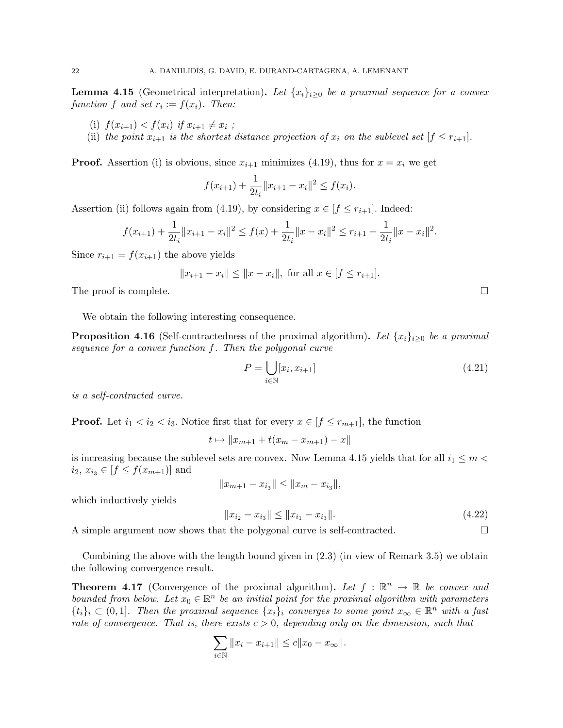**Lemma 4.15** (Geometrical interpretation). Let  $\{x_i\}_{i\geq 0}$  be a proximal sequence for a convex function f and set  $r_i := f(x_i)$ . Then:

- (i)  $f(x_{i+1}) < f(x_i)$  if  $x_{i+1} \neq x_i$ ;
- (ii) the point  $x_{i+1}$  is the shortest distance projection of  $x_i$  on the sublevel set  $[f \leq r_{i+1}]$ .

**Proof.** Assertion (i) is obvious, since  $x_{i+1}$  minimizes (4.19), thus for  $x = x_i$  we get

$$
f(x_{i+1}) + \frac{1}{2t_i} ||x_{i+1} - x_i||^2 \le f(x_i).
$$

Assertion (ii) follows again from (4.19), by considering  $x \in [f \leq r_{i+1}]$ . Indeed:

$$
f(x_{i+1}) + \frac{1}{2t_i} \|x_{i+1} - x_i\|^2 \le f(x) + \frac{1}{2t_i} \|x - x_i\|^2 \le r_{i+1} + \frac{1}{2t_i} \|x - x_i\|^2.
$$

Since  $r_{i+1} = f(x_{i+1})$  the above yields

$$
||x_{i+1} - x_i|| \le ||x - x_i||, \text{ for all } x \in [f \le r_{i+1}].
$$

The proof is complete.  $\Box$ 

We obtain the following interesting consequence.

**Proposition 4.16** (Self-contractedness of the proximal algorithm). Let  $\{x_i\}_{i>0}$  be a proximal sequence for a convex function f. Then the polygonal curve

$$
P = \bigcup_{i \in \mathbb{N}} [x_i, x_{i+1}] \tag{4.21}
$$

is a self-contracted curve.

**Proof.** Let  $i_1 < i_2 < i_3$ . Notice first that for every  $x \in [f \leq r_{m+1}]$ , the function

 $t \mapsto ||x_{m+1} + t(x_m - x_{m+1}) - x||$ 

is increasing because the sublevel sets are convex. Now Lemma 4.15 yields that for all  $i_1 \leq m$  $i_2, x_{i_3} \in [f \leq f(x_{m+1})]$  and

$$
||x_{m+1} - x_{i_3}|| \le ||x_m - x_{i_3}||,
$$

which inductively yields

$$
||x_{i_2} - x_{i_3}|| \le ||x_{i_1} - x_{i_3}||. \tag{4.22}
$$

A simple argument now shows that the polygonal curve is self-contracted.

Combining the above with the length bound given in (2.3) (in view of Remark 3.5) we obtain the following convergence result.

**Theorem 4.17** (Convergence of the proximal algorithm). Let  $f : \mathbb{R}^n \to \mathbb{R}$  be convex and bounded from below. Let  $x_0 \in \mathbb{R}^n$  be an initial point for the proximal algorithm with parameters  $\{t_i\}_i \subset (0,1]$ . Then the proximal sequence  $\{x_i\}_i$  converges to some point  $x_{\infty} \in \mathbb{R}^n$  with a fast rate of convergence. That is, there exists  $c > 0$ , depending only on the dimension, such that

$$
\sum_{i \in \mathbb{N}} \|x_i - x_{i+1}\| \le c \|x_0 - x_{\infty}\|.
$$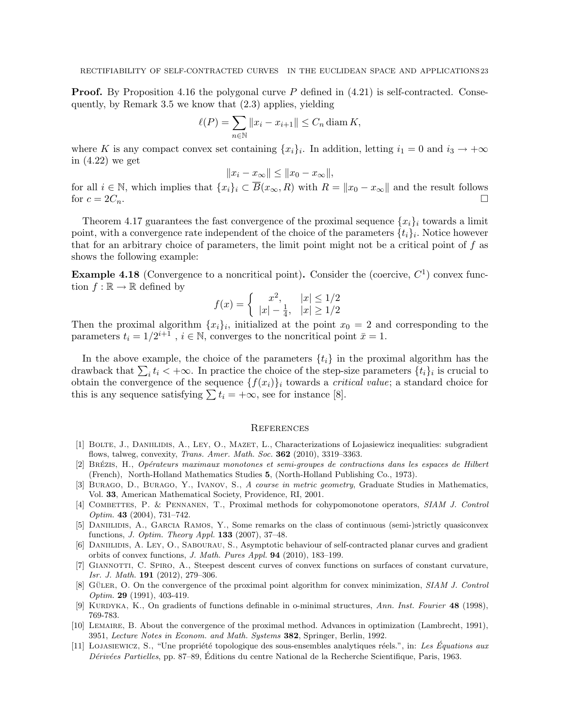**Proof.** By Proposition 4.16 the polygonal curve  $P$  defined in  $(4.21)$  is self-contracted. Consequently, by Remark 3.5 we know that (2.3) applies, yielding

$$
\ell(P) = \sum_{n \in \mathbb{N}} \|x_i - x_{i+1}\| \le C_n \operatorname{diam} K,
$$

where K is any compact convex set containing  $\{x_i\}_i$ . In addition, letting  $i_1 = 0$  and  $i_3 \to +\infty$ in (4.22) we get

$$
||x_i - x_{\infty}|| \le ||x_0 - x_{\infty}||,
$$

for all  $i \in \mathbb{N}$ , which implies that  $\{x_i\}_i \subset \overline{B}(x_\infty, R)$  with  $R = ||x_0 - x_\infty||$  and the result follows for  $c = 2C_n$ .

Theorem 4.17 guarantees the fast convergence of the proximal sequence  $\{x_i\}_i$  towards a limit point, with a convergence rate independent of the choice of the parameters  $\{t_i\}_i$ . Notice however that for an arbitrary choice of parameters, the limit point might not be a critical point of  $f$  as shows the following example:

**Example 4.18** (Convergence to a noncritical point). Consider the (coercive,  $C<sup>1</sup>$ ) convex function  $f : \mathbb{R} \to \mathbb{R}$  defined by

$$
f(x) = \begin{cases} x^2, & |x| \le 1/2\\ |x| - \frac{1}{4}, & |x| \ge 1/2 \end{cases}
$$

Then the proximal algorithm  $\{x_i\}_i$ , initialized at the point  $x_0 = 2$  and corresponding to the parameters  $t_i = 1/2^{i+1}$ ,  $i \in \mathbb{N}$ , converges to the noncritical point  $\bar{x} = 1$ .

In the above example, the choice of the parameters  $\{t_i\}$  in the proximal algorithm has the drawback that  $\sum_i t_i < +\infty$ . In practice the choice of the step-size parameters  $\{t_i\}_i$  is crucial to obtain the convergence of the sequence  $\{f(x_i)\}_i$  towards a *critical value*; a standard choice for this is any sequence satisfying  $\sum t_i = +\infty$ , see for instance [8].

#### **REFERENCES**

- [1] BOLTE, J., DANIILIDIS, A., LEY, O., MAZET, L., Characterizations of Lojasiewicz inequalities: subgradient flows, talweg, convexity, Trans. Amer. Math. Soc. 362 (2010), 3319–3363.
- [2] BRÉZIS, H., Opérateurs maximaux monotones et semi-groupes de contractions dans les espaces de Hilbert (French), North-Holland Mathematics Studies 5, (North-Holland Publishing Co., 1973).
- [3] Burago, D., Burago, Y., Ivanov, S., A course in metric geometry, Graduate Studies in Mathematics, Vol. 33, American Mathematical Society, Providence, RI, 2001.
- [4] COMBETTES, P. & PENNANEN, T., Proximal methods for cohypomonotone operators, SIAM J. Control Optim. 43 (2004), 731–742.
- [5] Daniilidis, A., Garcia Ramos, Y., Some remarks on the class of continuous (semi-)strictly quasiconvex functions, J. Optim. Theory Appl. 133 (2007), 37–48.
- [6] DANIILIDIS, A. LEY, O., SABOURAU, S., Asymptotic behaviour of self-contracted planar curves and gradient orbits of convex functions, J. Math. Pures Appl. 94 (2010), 183–199.
- [7] Giannotti, C. Spiro, A., Steepest descent curves of convex functions on surfaces of constant curvature, Isr. J. Math. 191 (2012), 279–306.
- [8] GÜLER, O. On the convergence of the proximal point algorithm for convex minimization, SIAM J. Control Optim. 29 (1991), 403-419.
- [9] KURDYKA, K., On gradients of functions definable in o-minimal structures, Ann. Inst. Fourier 48 (1998), 769-783.
- [10] Lemaire, B. About the convergence of the proximal method. Advances in optimization (Lambrecht, 1991), 3951, Lecture Notes in Econom. and Math. Systems 382, Springer, Berlin, 1992.
- [11] LOJASIEWICZ, S., "Une propriété topologique des sous-ensembles analytiques réels.", in: Les Équations aux Dérivées Partielles, pp. 87–89, Éditions du centre National de la Recherche Scientifique, Paris, 1963.